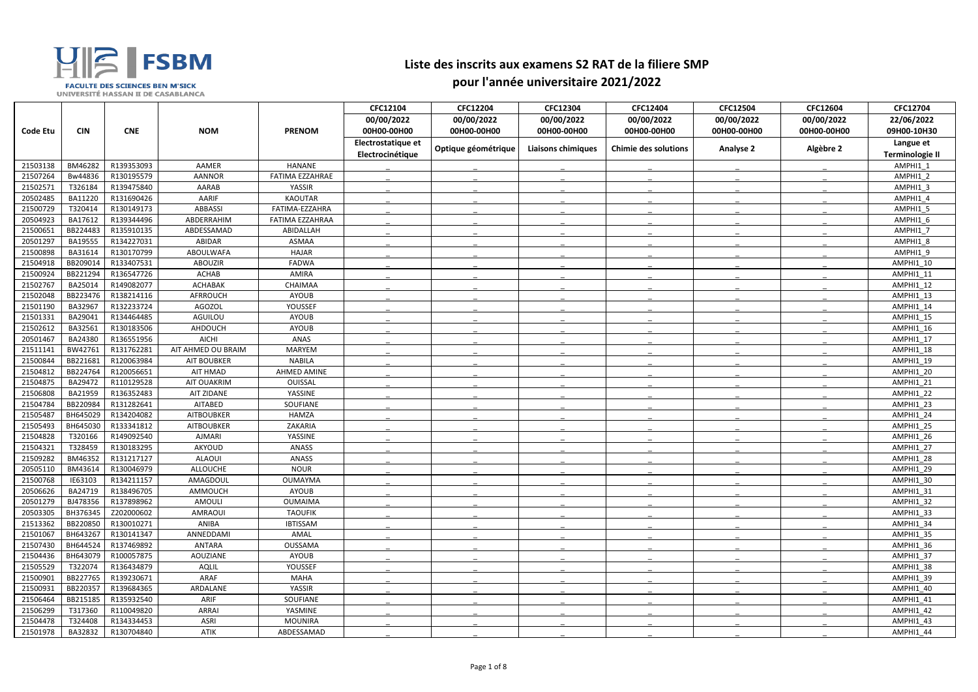| 00/00/2022<br>00/00/2022<br>00/00/2022<br>00/00/2022<br>00/00/2022<br>00/00/2022<br>22/06/2022<br><b>CIN</b><br><b>CNE</b><br><b>NOM</b><br><b>PRENOM</b><br><b>Code Etu</b><br>00H00-00H00<br>09H00-10H30<br>00H00-00H00<br>00H00-00H00<br>00H00-00H00<br>00H00-00H00<br>00H00-00H00<br>Electrostatique et<br>Langue et<br>Optique géométrique<br>Algèbre 2<br><b>Liaisons chimiques</b><br><b>Chimie des solutions</b><br><b>Analyse 2</b><br>Electrocinétique<br><b>Terminologie II</b><br>R139353093<br>BM46282<br>AAMER<br><b>HANANE</b><br>21503138<br>AMPHI1 1<br>Bw44836<br>21507264<br>R130195579<br><b>AANNOR</b><br>FATIMA EZZAHRAE<br>AMPHI1 2<br>21502571<br>T326184<br>R139475840<br>AARAB<br>AMPHI1 3<br>YASSIR<br>20502485<br>BA11220<br>R131690426<br>AARIF<br><b>KAOUTAR</b><br>AMPHI1 4<br>T320414<br>21500729<br>R130149173<br>ABBASSI<br>FATIMA-EZZAHRA<br>AMPHI1 5<br>20504923<br>BA17612<br>R139344496<br>ABDERRAHIM<br>FATIMA EZZAHRAA<br>AMPHI1 6<br>BB224483<br>21500651<br>R135910135<br>ABDESSAMAD<br>AMPHI1 7<br>ABIDALLAH<br>20501297<br>BA19555<br>R134227031<br>ABIDAR<br><b>ASMAA</b><br>AMPHI1 8<br>21500898<br>BA31614<br>R130170799<br><b>ABOULWAFA</b><br>AMPHI1 9<br><b>HAJAR</b><br>BB209014<br>R133407531<br>21504918<br><b>ABOUZIR</b><br><b>FADWA</b><br>AMPHI1 10<br>R136547726<br>21500924<br>BB221294<br><b>ACHAB</b><br>AMIRA<br>AMPHI1 11<br>21502767<br>BA25014<br>R149082077<br><b>ACHABAK</b><br>AMPHI1 12<br>CHAIMAA<br>21502048<br>BB223476<br>R138214116<br>AFRROUCH<br>AMPHI1 13<br><b>AYOUB</b><br>BA32967<br>R132233724<br>21501190<br><b>AGOZOL</b><br>YOUSSEF<br>AMPHI1 14<br>BA29041<br>R134464485<br>21501331<br>AGUILOU<br>AMPHI1 15<br>AYOUB<br>21502612<br>BA32561<br>R130183506<br>AHDOUCH<br>AYOUB<br>AMPHI1 16<br>20501467<br>BA24380<br>R136551956<br><b>AICHI</b><br>ANAS<br>AMPHI1 17<br>21511141<br>BW42761<br>R131762281<br>AIT AHMED OU BRAIM<br><b>MARYEM</b><br>AMPHI1 18<br>21500844<br>BB221681<br>R120063984<br><b>AIT BOUBKER</b><br>AMPHI1 19<br><b>NABILA</b><br>BB224764<br>R120056651<br>21504812<br>AIT HMAD<br>AHMED AMINE<br>AMPHI1 20<br>BA29472<br>21504875<br>R110129528<br>AIT OUAKRIM<br>OUISSAL<br>AMPHI1 21<br>21506808<br>BA21959<br>R136352483<br>AIT ZIDANE<br>YASSINE<br>AMPHI1 22<br>21504784<br>BB220984<br>R131282641<br><b>AITABED</b><br>SOUFIANE<br>AMPHI1 23<br>21505487<br>BH645029<br>R134204082<br><b>AITBOUBKER</b><br>AMPHI1 24<br><b>HAMZA</b><br>BH645030<br>R133341812<br>21505493<br><b>AITBOUBKER</b><br>ZAKARIA<br>AMPHI1 25<br>T320166<br>21504828<br>R149092540<br><b>AJMARI</b><br>YASSINE<br>AMPHI1 26<br>T328459<br>R130183295<br>21504321<br>AKYOUD<br>ANASS<br>AMPHI1 27<br>21509282<br>BM46352<br>R131217127<br><b>ALAOUI</b><br>ANASS<br>AMPHI1_28<br>20505110<br>BM43614<br>R130046979<br>ALLOUCHE<br><b>NOUR</b><br>AMPHI1_29<br>21500768<br>IE63103<br>R134211157<br>AMAGDOUL<br><b>OUMAYMA</b><br>AMPHI1 30<br>20506626<br>BA24719<br>R138496705<br>AMMOUCH<br>AMPHI1_31<br>AYOUB<br>20501279<br>BJ478356<br>R137898962<br>AMOULI<br><b>OUMAIMA</b><br>AMPHI1 32<br>BH376345<br>20503305<br>Z202000602<br>AMRAOUI<br><b>TAOUFIK</b><br>AMPHI1 33<br>21513362<br>BB220850<br>R130010271<br>AMPHI1 34<br>ANIBA<br><b>IBTISSAM</b><br>BH643267<br>R130141347<br>21501067<br>ANNEDDAMI<br>AMAL<br>AMPHI1_35<br>BH644524<br>R137469892<br>21507430<br>ANTARA<br>OUSSAMA<br>AMPHI1_36<br>BH643079<br>21504436<br>R100057875<br>AOUZIANE<br>AMPHI1_37<br>AYOUB<br>21505529<br>T322074<br>R136434879<br>AQLIL<br>YOUSSEF<br>AMPHI1 38<br>R139230671<br>21500901<br>BB227765<br>ARAF<br>AMPHI1 39<br>MAHA<br>21500931<br>BB220357<br>R139684365<br>ARDALANE<br>YASSIR<br>AMPHI1_40<br>R135932540<br>21506464<br>BB215185<br>ARIF<br>SOUFIANE<br>AMPHI1_41<br>21506299<br>T317360<br>R110049820<br>ARRAI<br>YASMINE<br>AMPHI1_42<br>21504478<br>T324408<br>R134334453<br><b>ASRI</b><br>AMPHI1 43<br>MOUNIRA<br>21501978<br>BA32832<br>R130704840<br>ABDESSAMAD<br>AMPHI1_44 |  |      | CFC12104 | <b>CFC12204</b> | CFC12304 | CFC12404 | CFC12504 | CFC12604 | CFC12704 |
|---------------------------------------------------------------------------------------------------------------------------------------------------------------------------------------------------------------------------------------------------------------------------------------------------------------------------------------------------------------------------------------------------------------------------------------------------------------------------------------------------------------------------------------------------------------------------------------------------------------------------------------------------------------------------------------------------------------------------------------------------------------------------------------------------------------------------------------------------------------------------------------------------------------------------------------------------------------------------------------------------------------------------------------------------------------------------------------------------------------------------------------------------------------------------------------------------------------------------------------------------------------------------------------------------------------------------------------------------------------------------------------------------------------------------------------------------------------------------------------------------------------------------------------------------------------------------------------------------------------------------------------------------------------------------------------------------------------------------------------------------------------------------------------------------------------------------------------------------------------------------------------------------------------------------------------------------------------------------------------------------------------------------------------------------------------------------------------------------------------------------------------------------------------------------------------------------------------------------------------------------------------------------------------------------------------------------------------------------------------------------------------------------------------------------------------------------------------------------------------------------------------------------------------------------------------------------------------------------------------------------------------------------------------------------------------------------------------------------------------------------------------------------------------------------------------------------------------------------------------------------------------------------------------------------------------------------------------------------------------------------------------------------------------------------------------------------------------------------------------------------------------------------------------------------------------------------------------------------------------------------------------------------------------------------------------------------------------------------------------------------------------------------------------------------------------------------------------------------------------------------------------------------------------------------------------------------------------------------------------------------------------------------------------------------------------------------------------------------------------------------------------------------------------------------------------------------------------------------------------------------------------------------------------------------------------------------------------------------------------------------|--|------|----------|-----------------|----------|----------|----------|----------|----------|
|                                                                                                                                                                                                                                                                                                                                                                                                                                                                                                                                                                                                                                                                                                                                                                                                                                                                                                                                                                                                                                                                                                                                                                                                                                                                                                                                                                                                                                                                                                                                                                                                                                                                                                                                                                                                                                                                                                                                                                                                                                                                                                                                                                                                                                                                                                                                                                                                                                                                                                                                                                                                                                                                                                                                                                                                                                                                                                                                                                                                                                                                                                                                                                                                                                                                                                                                                                                                                                                                                                                                                                                                                                                                                                                                                                                                                                                                                                                                                                                                   |  |      |          |                 |          |          |          |          |          |
|                                                                                                                                                                                                                                                                                                                                                                                                                                                                                                                                                                                                                                                                                                                                                                                                                                                                                                                                                                                                                                                                                                                                                                                                                                                                                                                                                                                                                                                                                                                                                                                                                                                                                                                                                                                                                                                                                                                                                                                                                                                                                                                                                                                                                                                                                                                                                                                                                                                                                                                                                                                                                                                                                                                                                                                                                                                                                                                                                                                                                                                                                                                                                                                                                                                                                                                                                                                                                                                                                                                                                                                                                                                                                                                                                                                                                                                                                                                                                                                                   |  |      |          |                 |          |          |          |          |          |
|                                                                                                                                                                                                                                                                                                                                                                                                                                                                                                                                                                                                                                                                                                                                                                                                                                                                                                                                                                                                                                                                                                                                                                                                                                                                                                                                                                                                                                                                                                                                                                                                                                                                                                                                                                                                                                                                                                                                                                                                                                                                                                                                                                                                                                                                                                                                                                                                                                                                                                                                                                                                                                                                                                                                                                                                                                                                                                                                                                                                                                                                                                                                                                                                                                                                                                                                                                                                                                                                                                                                                                                                                                                                                                                                                                                                                                                                                                                                                                                                   |  |      |          |                 |          |          |          |          |          |
|                                                                                                                                                                                                                                                                                                                                                                                                                                                                                                                                                                                                                                                                                                                                                                                                                                                                                                                                                                                                                                                                                                                                                                                                                                                                                                                                                                                                                                                                                                                                                                                                                                                                                                                                                                                                                                                                                                                                                                                                                                                                                                                                                                                                                                                                                                                                                                                                                                                                                                                                                                                                                                                                                                                                                                                                                                                                                                                                                                                                                                                                                                                                                                                                                                                                                                                                                                                                                                                                                                                                                                                                                                                                                                                                                                                                                                                                                                                                                                                                   |  |      |          |                 |          |          |          |          |          |
|                                                                                                                                                                                                                                                                                                                                                                                                                                                                                                                                                                                                                                                                                                                                                                                                                                                                                                                                                                                                                                                                                                                                                                                                                                                                                                                                                                                                                                                                                                                                                                                                                                                                                                                                                                                                                                                                                                                                                                                                                                                                                                                                                                                                                                                                                                                                                                                                                                                                                                                                                                                                                                                                                                                                                                                                                                                                                                                                                                                                                                                                                                                                                                                                                                                                                                                                                                                                                                                                                                                                                                                                                                                                                                                                                                                                                                                                                                                                                                                                   |  |      |          |                 |          |          |          |          |          |
|                                                                                                                                                                                                                                                                                                                                                                                                                                                                                                                                                                                                                                                                                                                                                                                                                                                                                                                                                                                                                                                                                                                                                                                                                                                                                                                                                                                                                                                                                                                                                                                                                                                                                                                                                                                                                                                                                                                                                                                                                                                                                                                                                                                                                                                                                                                                                                                                                                                                                                                                                                                                                                                                                                                                                                                                                                                                                                                                                                                                                                                                                                                                                                                                                                                                                                                                                                                                                                                                                                                                                                                                                                                                                                                                                                                                                                                                                                                                                                                                   |  |      |          |                 |          |          |          |          |          |
|                                                                                                                                                                                                                                                                                                                                                                                                                                                                                                                                                                                                                                                                                                                                                                                                                                                                                                                                                                                                                                                                                                                                                                                                                                                                                                                                                                                                                                                                                                                                                                                                                                                                                                                                                                                                                                                                                                                                                                                                                                                                                                                                                                                                                                                                                                                                                                                                                                                                                                                                                                                                                                                                                                                                                                                                                                                                                                                                                                                                                                                                                                                                                                                                                                                                                                                                                                                                                                                                                                                                                                                                                                                                                                                                                                                                                                                                                                                                                                                                   |  |      |          |                 |          |          |          |          |          |
|                                                                                                                                                                                                                                                                                                                                                                                                                                                                                                                                                                                                                                                                                                                                                                                                                                                                                                                                                                                                                                                                                                                                                                                                                                                                                                                                                                                                                                                                                                                                                                                                                                                                                                                                                                                                                                                                                                                                                                                                                                                                                                                                                                                                                                                                                                                                                                                                                                                                                                                                                                                                                                                                                                                                                                                                                                                                                                                                                                                                                                                                                                                                                                                                                                                                                                                                                                                                                                                                                                                                                                                                                                                                                                                                                                                                                                                                                                                                                                                                   |  |      |          |                 |          |          |          |          |          |
|                                                                                                                                                                                                                                                                                                                                                                                                                                                                                                                                                                                                                                                                                                                                                                                                                                                                                                                                                                                                                                                                                                                                                                                                                                                                                                                                                                                                                                                                                                                                                                                                                                                                                                                                                                                                                                                                                                                                                                                                                                                                                                                                                                                                                                                                                                                                                                                                                                                                                                                                                                                                                                                                                                                                                                                                                                                                                                                                                                                                                                                                                                                                                                                                                                                                                                                                                                                                                                                                                                                                                                                                                                                                                                                                                                                                                                                                                                                                                                                                   |  |      |          |                 |          |          |          |          |          |
|                                                                                                                                                                                                                                                                                                                                                                                                                                                                                                                                                                                                                                                                                                                                                                                                                                                                                                                                                                                                                                                                                                                                                                                                                                                                                                                                                                                                                                                                                                                                                                                                                                                                                                                                                                                                                                                                                                                                                                                                                                                                                                                                                                                                                                                                                                                                                                                                                                                                                                                                                                                                                                                                                                                                                                                                                                                                                                                                                                                                                                                                                                                                                                                                                                                                                                                                                                                                                                                                                                                                                                                                                                                                                                                                                                                                                                                                                                                                                                                                   |  |      |          |                 |          |          |          |          |          |
|                                                                                                                                                                                                                                                                                                                                                                                                                                                                                                                                                                                                                                                                                                                                                                                                                                                                                                                                                                                                                                                                                                                                                                                                                                                                                                                                                                                                                                                                                                                                                                                                                                                                                                                                                                                                                                                                                                                                                                                                                                                                                                                                                                                                                                                                                                                                                                                                                                                                                                                                                                                                                                                                                                                                                                                                                                                                                                                                                                                                                                                                                                                                                                                                                                                                                                                                                                                                                                                                                                                                                                                                                                                                                                                                                                                                                                                                                                                                                                                                   |  |      |          |                 |          |          |          |          |          |
|                                                                                                                                                                                                                                                                                                                                                                                                                                                                                                                                                                                                                                                                                                                                                                                                                                                                                                                                                                                                                                                                                                                                                                                                                                                                                                                                                                                                                                                                                                                                                                                                                                                                                                                                                                                                                                                                                                                                                                                                                                                                                                                                                                                                                                                                                                                                                                                                                                                                                                                                                                                                                                                                                                                                                                                                                                                                                                                                                                                                                                                                                                                                                                                                                                                                                                                                                                                                                                                                                                                                                                                                                                                                                                                                                                                                                                                                                                                                                                                                   |  |      |          |                 |          |          |          |          |          |
|                                                                                                                                                                                                                                                                                                                                                                                                                                                                                                                                                                                                                                                                                                                                                                                                                                                                                                                                                                                                                                                                                                                                                                                                                                                                                                                                                                                                                                                                                                                                                                                                                                                                                                                                                                                                                                                                                                                                                                                                                                                                                                                                                                                                                                                                                                                                                                                                                                                                                                                                                                                                                                                                                                                                                                                                                                                                                                                                                                                                                                                                                                                                                                                                                                                                                                                                                                                                                                                                                                                                                                                                                                                                                                                                                                                                                                                                                                                                                                                                   |  |      |          |                 |          |          |          |          |          |
|                                                                                                                                                                                                                                                                                                                                                                                                                                                                                                                                                                                                                                                                                                                                                                                                                                                                                                                                                                                                                                                                                                                                                                                                                                                                                                                                                                                                                                                                                                                                                                                                                                                                                                                                                                                                                                                                                                                                                                                                                                                                                                                                                                                                                                                                                                                                                                                                                                                                                                                                                                                                                                                                                                                                                                                                                                                                                                                                                                                                                                                                                                                                                                                                                                                                                                                                                                                                                                                                                                                                                                                                                                                                                                                                                                                                                                                                                                                                                                                                   |  |      |          |                 |          |          |          |          |          |
|                                                                                                                                                                                                                                                                                                                                                                                                                                                                                                                                                                                                                                                                                                                                                                                                                                                                                                                                                                                                                                                                                                                                                                                                                                                                                                                                                                                                                                                                                                                                                                                                                                                                                                                                                                                                                                                                                                                                                                                                                                                                                                                                                                                                                                                                                                                                                                                                                                                                                                                                                                                                                                                                                                                                                                                                                                                                                                                                                                                                                                                                                                                                                                                                                                                                                                                                                                                                                                                                                                                                                                                                                                                                                                                                                                                                                                                                                                                                                                                                   |  |      |          |                 |          |          |          |          |          |
|                                                                                                                                                                                                                                                                                                                                                                                                                                                                                                                                                                                                                                                                                                                                                                                                                                                                                                                                                                                                                                                                                                                                                                                                                                                                                                                                                                                                                                                                                                                                                                                                                                                                                                                                                                                                                                                                                                                                                                                                                                                                                                                                                                                                                                                                                                                                                                                                                                                                                                                                                                                                                                                                                                                                                                                                                                                                                                                                                                                                                                                                                                                                                                                                                                                                                                                                                                                                                                                                                                                                                                                                                                                                                                                                                                                                                                                                                                                                                                                                   |  |      |          |                 |          |          |          |          |          |
|                                                                                                                                                                                                                                                                                                                                                                                                                                                                                                                                                                                                                                                                                                                                                                                                                                                                                                                                                                                                                                                                                                                                                                                                                                                                                                                                                                                                                                                                                                                                                                                                                                                                                                                                                                                                                                                                                                                                                                                                                                                                                                                                                                                                                                                                                                                                                                                                                                                                                                                                                                                                                                                                                                                                                                                                                                                                                                                                                                                                                                                                                                                                                                                                                                                                                                                                                                                                                                                                                                                                                                                                                                                                                                                                                                                                                                                                                                                                                                                                   |  |      |          |                 |          |          |          |          |          |
|                                                                                                                                                                                                                                                                                                                                                                                                                                                                                                                                                                                                                                                                                                                                                                                                                                                                                                                                                                                                                                                                                                                                                                                                                                                                                                                                                                                                                                                                                                                                                                                                                                                                                                                                                                                                                                                                                                                                                                                                                                                                                                                                                                                                                                                                                                                                                                                                                                                                                                                                                                                                                                                                                                                                                                                                                                                                                                                                                                                                                                                                                                                                                                                                                                                                                                                                                                                                                                                                                                                                                                                                                                                                                                                                                                                                                                                                                                                                                                                                   |  |      |          |                 |          |          |          |          |          |
|                                                                                                                                                                                                                                                                                                                                                                                                                                                                                                                                                                                                                                                                                                                                                                                                                                                                                                                                                                                                                                                                                                                                                                                                                                                                                                                                                                                                                                                                                                                                                                                                                                                                                                                                                                                                                                                                                                                                                                                                                                                                                                                                                                                                                                                                                                                                                                                                                                                                                                                                                                                                                                                                                                                                                                                                                                                                                                                                                                                                                                                                                                                                                                                                                                                                                                                                                                                                                                                                                                                                                                                                                                                                                                                                                                                                                                                                                                                                                                                                   |  |      |          |                 |          |          |          |          |          |
|                                                                                                                                                                                                                                                                                                                                                                                                                                                                                                                                                                                                                                                                                                                                                                                                                                                                                                                                                                                                                                                                                                                                                                                                                                                                                                                                                                                                                                                                                                                                                                                                                                                                                                                                                                                                                                                                                                                                                                                                                                                                                                                                                                                                                                                                                                                                                                                                                                                                                                                                                                                                                                                                                                                                                                                                                                                                                                                                                                                                                                                                                                                                                                                                                                                                                                                                                                                                                                                                                                                                                                                                                                                                                                                                                                                                                                                                                                                                                                                                   |  |      |          |                 |          |          |          |          |          |
|                                                                                                                                                                                                                                                                                                                                                                                                                                                                                                                                                                                                                                                                                                                                                                                                                                                                                                                                                                                                                                                                                                                                                                                                                                                                                                                                                                                                                                                                                                                                                                                                                                                                                                                                                                                                                                                                                                                                                                                                                                                                                                                                                                                                                                                                                                                                                                                                                                                                                                                                                                                                                                                                                                                                                                                                                                                                                                                                                                                                                                                                                                                                                                                                                                                                                                                                                                                                                                                                                                                                                                                                                                                                                                                                                                                                                                                                                                                                                                                                   |  |      |          |                 |          |          |          |          |          |
|                                                                                                                                                                                                                                                                                                                                                                                                                                                                                                                                                                                                                                                                                                                                                                                                                                                                                                                                                                                                                                                                                                                                                                                                                                                                                                                                                                                                                                                                                                                                                                                                                                                                                                                                                                                                                                                                                                                                                                                                                                                                                                                                                                                                                                                                                                                                                                                                                                                                                                                                                                                                                                                                                                                                                                                                                                                                                                                                                                                                                                                                                                                                                                                                                                                                                                                                                                                                                                                                                                                                                                                                                                                                                                                                                                                                                                                                                                                                                                                                   |  |      |          |                 |          |          |          |          |          |
|                                                                                                                                                                                                                                                                                                                                                                                                                                                                                                                                                                                                                                                                                                                                                                                                                                                                                                                                                                                                                                                                                                                                                                                                                                                                                                                                                                                                                                                                                                                                                                                                                                                                                                                                                                                                                                                                                                                                                                                                                                                                                                                                                                                                                                                                                                                                                                                                                                                                                                                                                                                                                                                                                                                                                                                                                                                                                                                                                                                                                                                                                                                                                                                                                                                                                                                                                                                                                                                                                                                                                                                                                                                                                                                                                                                                                                                                                                                                                                                                   |  |      |          |                 |          |          |          |          |          |
|                                                                                                                                                                                                                                                                                                                                                                                                                                                                                                                                                                                                                                                                                                                                                                                                                                                                                                                                                                                                                                                                                                                                                                                                                                                                                                                                                                                                                                                                                                                                                                                                                                                                                                                                                                                                                                                                                                                                                                                                                                                                                                                                                                                                                                                                                                                                                                                                                                                                                                                                                                                                                                                                                                                                                                                                                                                                                                                                                                                                                                                                                                                                                                                                                                                                                                                                                                                                                                                                                                                                                                                                                                                                                                                                                                                                                                                                                                                                                                                                   |  |      |          |                 |          |          |          |          |          |
|                                                                                                                                                                                                                                                                                                                                                                                                                                                                                                                                                                                                                                                                                                                                                                                                                                                                                                                                                                                                                                                                                                                                                                                                                                                                                                                                                                                                                                                                                                                                                                                                                                                                                                                                                                                                                                                                                                                                                                                                                                                                                                                                                                                                                                                                                                                                                                                                                                                                                                                                                                                                                                                                                                                                                                                                                                                                                                                                                                                                                                                                                                                                                                                                                                                                                                                                                                                                                                                                                                                                                                                                                                                                                                                                                                                                                                                                                                                                                                                                   |  |      |          |                 |          |          |          |          |          |
|                                                                                                                                                                                                                                                                                                                                                                                                                                                                                                                                                                                                                                                                                                                                                                                                                                                                                                                                                                                                                                                                                                                                                                                                                                                                                                                                                                                                                                                                                                                                                                                                                                                                                                                                                                                                                                                                                                                                                                                                                                                                                                                                                                                                                                                                                                                                                                                                                                                                                                                                                                                                                                                                                                                                                                                                                                                                                                                                                                                                                                                                                                                                                                                                                                                                                                                                                                                                                                                                                                                                                                                                                                                                                                                                                                                                                                                                                                                                                                                                   |  |      |          |                 |          |          |          |          |          |
|                                                                                                                                                                                                                                                                                                                                                                                                                                                                                                                                                                                                                                                                                                                                                                                                                                                                                                                                                                                                                                                                                                                                                                                                                                                                                                                                                                                                                                                                                                                                                                                                                                                                                                                                                                                                                                                                                                                                                                                                                                                                                                                                                                                                                                                                                                                                                                                                                                                                                                                                                                                                                                                                                                                                                                                                                                                                                                                                                                                                                                                                                                                                                                                                                                                                                                                                                                                                                                                                                                                                                                                                                                                                                                                                                                                                                                                                                                                                                                                                   |  |      |          |                 |          |          |          |          |          |
|                                                                                                                                                                                                                                                                                                                                                                                                                                                                                                                                                                                                                                                                                                                                                                                                                                                                                                                                                                                                                                                                                                                                                                                                                                                                                                                                                                                                                                                                                                                                                                                                                                                                                                                                                                                                                                                                                                                                                                                                                                                                                                                                                                                                                                                                                                                                                                                                                                                                                                                                                                                                                                                                                                                                                                                                                                                                                                                                                                                                                                                                                                                                                                                                                                                                                                                                                                                                                                                                                                                                                                                                                                                                                                                                                                                                                                                                                                                                                                                                   |  |      |          |                 |          |          |          |          |          |
|                                                                                                                                                                                                                                                                                                                                                                                                                                                                                                                                                                                                                                                                                                                                                                                                                                                                                                                                                                                                                                                                                                                                                                                                                                                                                                                                                                                                                                                                                                                                                                                                                                                                                                                                                                                                                                                                                                                                                                                                                                                                                                                                                                                                                                                                                                                                                                                                                                                                                                                                                                                                                                                                                                                                                                                                                                                                                                                                                                                                                                                                                                                                                                                                                                                                                                                                                                                                                                                                                                                                                                                                                                                                                                                                                                                                                                                                                                                                                                                                   |  |      |          |                 |          |          |          |          |          |
|                                                                                                                                                                                                                                                                                                                                                                                                                                                                                                                                                                                                                                                                                                                                                                                                                                                                                                                                                                                                                                                                                                                                                                                                                                                                                                                                                                                                                                                                                                                                                                                                                                                                                                                                                                                                                                                                                                                                                                                                                                                                                                                                                                                                                                                                                                                                                                                                                                                                                                                                                                                                                                                                                                                                                                                                                                                                                                                                                                                                                                                                                                                                                                                                                                                                                                                                                                                                                                                                                                                                                                                                                                                                                                                                                                                                                                                                                                                                                                                                   |  |      |          |                 |          |          |          |          |          |
|                                                                                                                                                                                                                                                                                                                                                                                                                                                                                                                                                                                                                                                                                                                                                                                                                                                                                                                                                                                                                                                                                                                                                                                                                                                                                                                                                                                                                                                                                                                                                                                                                                                                                                                                                                                                                                                                                                                                                                                                                                                                                                                                                                                                                                                                                                                                                                                                                                                                                                                                                                                                                                                                                                                                                                                                                                                                                                                                                                                                                                                                                                                                                                                                                                                                                                                                                                                                                                                                                                                                                                                                                                                                                                                                                                                                                                                                                                                                                                                                   |  |      |          |                 |          |          |          |          |          |
|                                                                                                                                                                                                                                                                                                                                                                                                                                                                                                                                                                                                                                                                                                                                                                                                                                                                                                                                                                                                                                                                                                                                                                                                                                                                                                                                                                                                                                                                                                                                                                                                                                                                                                                                                                                                                                                                                                                                                                                                                                                                                                                                                                                                                                                                                                                                                                                                                                                                                                                                                                                                                                                                                                                                                                                                                                                                                                                                                                                                                                                                                                                                                                                                                                                                                                                                                                                                                                                                                                                                                                                                                                                                                                                                                                                                                                                                                                                                                                                                   |  |      |          |                 |          |          |          |          |          |
|                                                                                                                                                                                                                                                                                                                                                                                                                                                                                                                                                                                                                                                                                                                                                                                                                                                                                                                                                                                                                                                                                                                                                                                                                                                                                                                                                                                                                                                                                                                                                                                                                                                                                                                                                                                                                                                                                                                                                                                                                                                                                                                                                                                                                                                                                                                                                                                                                                                                                                                                                                                                                                                                                                                                                                                                                                                                                                                                                                                                                                                                                                                                                                                                                                                                                                                                                                                                                                                                                                                                                                                                                                                                                                                                                                                                                                                                                                                                                                                                   |  |      |          |                 |          |          |          |          |          |
|                                                                                                                                                                                                                                                                                                                                                                                                                                                                                                                                                                                                                                                                                                                                                                                                                                                                                                                                                                                                                                                                                                                                                                                                                                                                                                                                                                                                                                                                                                                                                                                                                                                                                                                                                                                                                                                                                                                                                                                                                                                                                                                                                                                                                                                                                                                                                                                                                                                                                                                                                                                                                                                                                                                                                                                                                                                                                                                                                                                                                                                                                                                                                                                                                                                                                                                                                                                                                                                                                                                                                                                                                                                                                                                                                                                                                                                                                                                                                                                                   |  |      |          |                 |          |          |          |          |          |
|                                                                                                                                                                                                                                                                                                                                                                                                                                                                                                                                                                                                                                                                                                                                                                                                                                                                                                                                                                                                                                                                                                                                                                                                                                                                                                                                                                                                                                                                                                                                                                                                                                                                                                                                                                                                                                                                                                                                                                                                                                                                                                                                                                                                                                                                                                                                                                                                                                                                                                                                                                                                                                                                                                                                                                                                                                                                                                                                                                                                                                                                                                                                                                                                                                                                                                                                                                                                                                                                                                                                                                                                                                                                                                                                                                                                                                                                                                                                                                                                   |  |      |          |                 |          |          |          |          |          |
|                                                                                                                                                                                                                                                                                                                                                                                                                                                                                                                                                                                                                                                                                                                                                                                                                                                                                                                                                                                                                                                                                                                                                                                                                                                                                                                                                                                                                                                                                                                                                                                                                                                                                                                                                                                                                                                                                                                                                                                                                                                                                                                                                                                                                                                                                                                                                                                                                                                                                                                                                                                                                                                                                                                                                                                                                                                                                                                                                                                                                                                                                                                                                                                                                                                                                                                                                                                                                                                                                                                                                                                                                                                                                                                                                                                                                                                                                                                                                                                                   |  |      |          |                 |          |          |          |          |          |
|                                                                                                                                                                                                                                                                                                                                                                                                                                                                                                                                                                                                                                                                                                                                                                                                                                                                                                                                                                                                                                                                                                                                                                                                                                                                                                                                                                                                                                                                                                                                                                                                                                                                                                                                                                                                                                                                                                                                                                                                                                                                                                                                                                                                                                                                                                                                                                                                                                                                                                                                                                                                                                                                                                                                                                                                                                                                                                                                                                                                                                                                                                                                                                                                                                                                                                                                                                                                                                                                                                                                                                                                                                                                                                                                                                                                                                                                                                                                                                                                   |  |      |          |                 |          |          |          |          |          |
|                                                                                                                                                                                                                                                                                                                                                                                                                                                                                                                                                                                                                                                                                                                                                                                                                                                                                                                                                                                                                                                                                                                                                                                                                                                                                                                                                                                                                                                                                                                                                                                                                                                                                                                                                                                                                                                                                                                                                                                                                                                                                                                                                                                                                                                                                                                                                                                                                                                                                                                                                                                                                                                                                                                                                                                                                                                                                                                                                                                                                                                                                                                                                                                                                                                                                                                                                                                                                                                                                                                                                                                                                                                                                                                                                                                                                                                                                                                                                                                                   |  |      |          |                 |          |          |          |          |          |
|                                                                                                                                                                                                                                                                                                                                                                                                                                                                                                                                                                                                                                                                                                                                                                                                                                                                                                                                                                                                                                                                                                                                                                                                                                                                                                                                                                                                                                                                                                                                                                                                                                                                                                                                                                                                                                                                                                                                                                                                                                                                                                                                                                                                                                                                                                                                                                                                                                                                                                                                                                                                                                                                                                                                                                                                                                                                                                                                                                                                                                                                                                                                                                                                                                                                                                                                                                                                                                                                                                                                                                                                                                                                                                                                                                                                                                                                                                                                                                                                   |  |      |          |                 |          |          |          |          |          |
|                                                                                                                                                                                                                                                                                                                                                                                                                                                                                                                                                                                                                                                                                                                                                                                                                                                                                                                                                                                                                                                                                                                                                                                                                                                                                                                                                                                                                                                                                                                                                                                                                                                                                                                                                                                                                                                                                                                                                                                                                                                                                                                                                                                                                                                                                                                                                                                                                                                                                                                                                                                                                                                                                                                                                                                                                                                                                                                                                                                                                                                                                                                                                                                                                                                                                                                                                                                                                                                                                                                                                                                                                                                                                                                                                                                                                                                                                                                                                                                                   |  |      |          |                 |          |          |          |          |          |
|                                                                                                                                                                                                                                                                                                                                                                                                                                                                                                                                                                                                                                                                                                                                                                                                                                                                                                                                                                                                                                                                                                                                                                                                                                                                                                                                                                                                                                                                                                                                                                                                                                                                                                                                                                                                                                                                                                                                                                                                                                                                                                                                                                                                                                                                                                                                                                                                                                                                                                                                                                                                                                                                                                                                                                                                                                                                                                                                                                                                                                                                                                                                                                                                                                                                                                                                                                                                                                                                                                                                                                                                                                                                                                                                                                                                                                                                                                                                                                                                   |  |      |          |                 |          |          |          |          |          |
|                                                                                                                                                                                                                                                                                                                                                                                                                                                                                                                                                                                                                                                                                                                                                                                                                                                                                                                                                                                                                                                                                                                                                                                                                                                                                                                                                                                                                                                                                                                                                                                                                                                                                                                                                                                                                                                                                                                                                                                                                                                                                                                                                                                                                                                                                                                                                                                                                                                                                                                                                                                                                                                                                                                                                                                                                                                                                                                                                                                                                                                                                                                                                                                                                                                                                                                                                                                                                                                                                                                                                                                                                                                                                                                                                                                                                                                                                                                                                                                                   |  |      |          |                 |          |          |          |          |          |
|                                                                                                                                                                                                                                                                                                                                                                                                                                                                                                                                                                                                                                                                                                                                                                                                                                                                                                                                                                                                                                                                                                                                                                                                                                                                                                                                                                                                                                                                                                                                                                                                                                                                                                                                                                                                                                                                                                                                                                                                                                                                                                                                                                                                                                                                                                                                                                                                                                                                                                                                                                                                                                                                                                                                                                                                                                                                                                                                                                                                                                                                                                                                                                                                                                                                                                                                                                                                                                                                                                                                                                                                                                                                                                                                                                                                                                                                                                                                                                                                   |  |      |          |                 |          |          |          |          |          |
|                                                                                                                                                                                                                                                                                                                                                                                                                                                                                                                                                                                                                                                                                                                                                                                                                                                                                                                                                                                                                                                                                                                                                                                                                                                                                                                                                                                                                                                                                                                                                                                                                                                                                                                                                                                                                                                                                                                                                                                                                                                                                                                                                                                                                                                                                                                                                                                                                                                                                                                                                                                                                                                                                                                                                                                                                                                                                                                                                                                                                                                                                                                                                                                                                                                                                                                                                                                                                                                                                                                                                                                                                                                                                                                                                                                                                                                                                                                                                                                                   |  |      |          |                 |          |          |          |          |          |
|                                                                                                                                                                                                                                                                                                                                                                                                                                                                                                                                                                                                                                                                                                                                                                                                                                                                                                                                                                                                                                                                                                                                                                                                                                                                                                                                                                                                                                                                                                                                                                                                                                                                                                                                                                                                                                                                                                                                                                                                                                                                                                                                                                                                                                                                                                                                                                                                                                                                                                                                                                                                                                                                                                                                                                                                                                                                                                                                                                                                                                                                                                                                                                                                                                                                                                                                                                                                                                                                                                                                                                                                                                                                                                                                                                                                                                                                                                                                                                                                   |  |      |          |                 |          |          |          |          |          |
|                                                                                                                                                                                                                                                                                                                                                                                                                                                                                                                                                                                                                                                                                                                                                                                                                                                                                                                                                                                                                                                                                                                                                                                                                                                                                                                                                                                                                                                                                                                                                                                                                                                                                                                                                                                                                                                                                                                                                                                                                                                                                                                                                                                                                                                                                                                                                                                                                                                                                                                                                                                                                                                                                                                                                                                                                                                                                                                                                                                                                                                                                                                                                                                                                                                                                                                                                                                                                                                                                                                                                                                                                                                                                                                                                                                                                                                                                                                                                                                                   |  |      |          |                 |          |          |          |          |          |
|                                                                                                                                                                                                                                                                                                                                                                                                                                                                                                                                                                                                                                                                                                                                                                                                                                                                                                                                                                                                                                                                                                                                                                                                                                                                                                                                                                                                                                                                                                                                                                                                                                                                                                                                                                                                                                                                                                                                                                                                                                                                                                                                                                                                                                                                                                                                                                                                                                                                                                                                                                                                                                                                                                                                                                                                                                                                                                                                                                                                                                                                                                                                                                                                                                                                                                                                                                                                                                                                                                                                                                                                                                                                                                                                                                                                                                                                                                                                                                                                   |  | ATIK |          |                 |          |          |          |          |          |



## **Liste des inscrits aux examens S2 RAT de la filiere SMP pour l'année universitaire 2021/2022**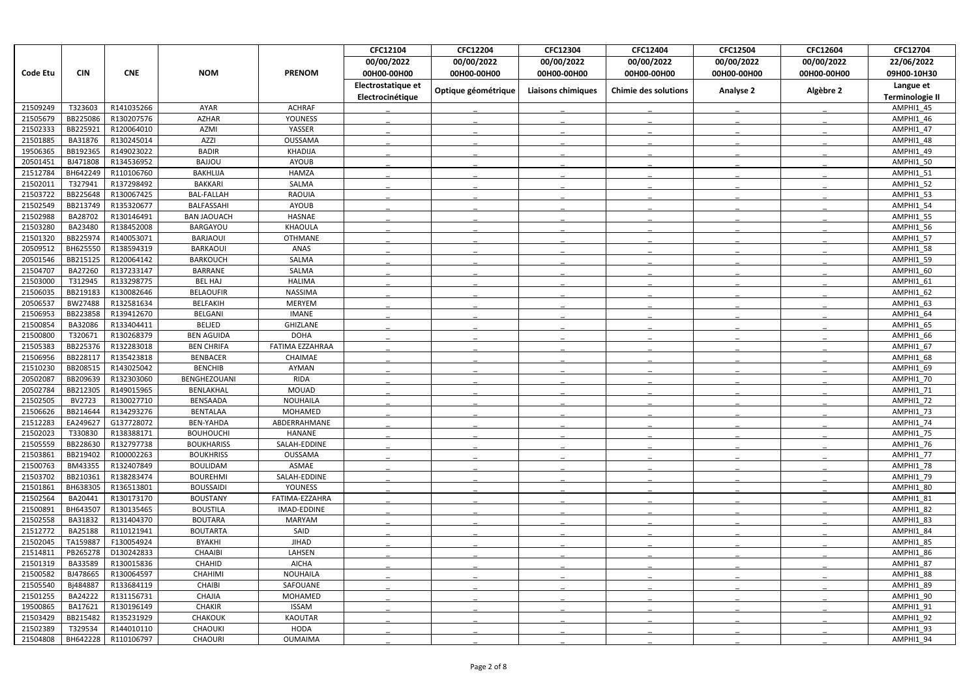|                      |                      |                          |                                   |                  | CFC12104           | <b>CFC12204</b>     | CFC12304                  | CFC12404                    | CFC12504         | CFC12604    | CFC12704               |
|----------------------|----------------------|--------------------------|-----------------------------------|------------------|--------------------|---------------------|---------------------------|-----------------------------|------------------|-------------|------------------------|
|                      |                      |                          |                                   |                  | 00/00/2022         | 00/00/2022          | 00/00/2022                | 00/00/2022                  | 00/00/2022       | 00/00/2022  | 22/06/2022             |
| <b>Code Etu</b>      | <b>CIN</b>           | <b>CNE</b>               | <b>NOM</b>                        | <b>PRENOM</b>    | 00H00-00H00        | 00H00-00H00         | 00H00-00H00               | 00H00-00H00                 | 00H00-00H00      | 00H00-00H00 | 09H00-10H30            |
|                      |                      |                          |                                   |                  | Electrostatique et |                     |                           |                             |                  |             | Langue et              |
|                      |                      |                          |                                   |                  | Electrocinétique   | Optique géométrique | <b>Liaisons chimiques</b> | <b>Chimie des solutions</b> | <b>Analyse 2</b> | Algèbre 2   | <b>Terminologie II</b> |
| 21509249             | T323603              | R141035266               | AYAR                              | <b>ACHRAF</b>    |                    |                     |                           |                             |                  |             | AMPHI1 45              |
| 21505679             | BB225086             | R130207576               | <b>AZHAR</b>                      | <b>YOUNESS</b>   |                    |                     |                           |                             |                  |             | AMPHI1 46              |
| 21502333             | BB225921             | R120064010               | <b>AZMI</b>                       | YASSER           |                    |                     |                           |                             |                  |             | AMPHI1_47              |
| 21501885             | BA31876              | R130245014               | <b>AZZI</b>                       | OUSSAMA          |                    |                     |                           |                             |                  |             | AMPHI1 48              |
| 19506365             | BB192365             | R149023022               | <b>BADIR</b>                      | KHADIJA          |                    |                     |                           |                             |                  |             | AMPHI1 49              |
| 20501451             | BJ471808             | R134536952               | <b>BAJJOU</b>                     | AYOUB            |                    |                     |                           |                             |                  |             | AMPHI1 50              |
| 21512784             | BH642249             | R110106760               | <b>BAKHLIJA</b>                   | HAMZA            |                    |                     |                           |                             |                  |             | AMPHI1 51              |
| 21502011             | T327941              | R137298492               | <b>BAKKARI</b>                    | SALMA            |                    |                     |                           |                             |                  |             | <b>AMPHI1_52</b>       |
| 21503722             | BB225648             | R130067425               | <b>BAL-FALLAH</b>                 | <b>RAOUIA</b>    |                    |                     |                           |                             |                  |             | AMPHI1 53              |
| 21502549             | BB213749             | R135320677               | BALFASSAHI                        | <b>AYOUB</b>     |                    |                     |                           |                             |                  |             | AMPHI1 54              |
| 21502988             | BA28702              | R130146491               | <b>BAN JAOUACH</b>                | <b>HASNAE</b>    |                    |                     |                           |                             |                  |             | AMPHI1 55              |
| 21503280             | BA23480              | R138452008               | BARGAYOU                          | <b>KHAOULA</b>   |                    |                     |                           |                             |                  |             | AMPHI1 56              |
| 21501320             | BB225974             | R140053071               | BARJAOUI                          | <b>OTHMANE</b>   |                    |                     |                           |                             |                  |             | AMPHI1_57              |
| 20509512             | BH625550             | R138594319               | <b>BARKAOUI</b>                   | ANAS             |                    |                     |                           |                             |                  |             | AMPHI1 58              |
| 20501546             | BB215125             | R120064142               | <b>BARKOUCH</b>                   | SALMA            |                    |                     |                           |                             |                  |             | AMPHI1 59              |
| 21504707             | BA27260              | R137233147               | <b>BARRANE</b>                    | SALMA            |                    |                     |                           |                             |                  |             | AMPHI1 60              |
| 21503000             | T312945              | R133298775               | <b>BEL HAJ</b>                    | <b>HALIMA</b>    |                    |                     |                           |                             |                  |             | AMPHI1 61              |
| 21506035             | BB219183             | K130082646               | <b>BELAOUFIR</b>                  | NASSIMA          |                    |                     |                           |                             |                  |             | AMPHI1 62              |
| 20506537             | BW27488              | R132581634               | <b>BELFAKIH</b>                   | <b>MERYEM</b>    |                    |                     |                           |                             |                  |             | AMPHI1 63              |
| 21506953             | BB223858             | R139412670               | <b>BELGANI</b>                    | IMANE            |                    |                     |                           |                             |                  |             | AMPHI1 64              |
| 21500854             | BA32086              | R133404411               | <b>BELJED</b>                     | GHIZLANE         |                    |                     |                           |                             |                  |             | AMPHI1 65              |
| 21500800             | T320671              | R130268379               | <b>BEN AGUIDA</b>                 | <b>DOHA</b>      |                    |                     |                           |                             |                  |             | AMPHI1 66              |
| 21505383<br>21506956 | BB225376<br>BB228117 | R132283018               | <b>BEN CHRIFA</b>                 | FATIMA EZZAHRAA  |                    |                     |                           |                             |                  |             | AMPHI1 67              |
| 21510230             | BB208515             | R135423818<br>R143025042 | <b>BENBACER</b><br><b>BENCHIB</b> | CHAIMAE<br>AYMAN |                    |                     |                           |                             |                  |             | AMPHI1 68<br>AMPHI1 69 |
| 2050208              | BB209639             | R132303060               | BENGHEZOUANI                      | <b>RIDA</b>      |                    |                     |                           |                             |                  |             | <b>AMPHI1 70</b>       |
| 20502784             | BB212305             | R149015965               | BENLAKHAL                         | <b>MOUAD</b>     |                    |                     |                           |                             |                  |             | AMPHI1 71              |
| 21502505             | BV2723               | R130027710               | <b>BENSAADA</b>                   | <b>NOUHAILA</b>  |                    |                     |                           |                             |                  |             | AMPHI1 72              |
| 21506626             | BB214644             | R134293276               | <b>BENTALAA</b>                   | MOHAMED          |                    |                     |                           |                             |                  |             | AMPHI1_73              |
| 21512283             | EA249627             | G137728072               | <b>BEN-YAHDA</b>                  | ABDERRAHMANE     |                    |                     |                           |                             |                  |             | AMPHI1 74              |
| 21502023             | T330830              | R138388171               | <b>BOUHOUCHI</b>                  | HANANE           |                    |                     |                           |                             |                  |             | AMPHI1 75              |
| 21505559             | BB228630             | R132797738               | <b>BOUKHARISS</b>                 | SALAH-EDDINE     |                    |                     |                           |                             |                  |             | AMPHI1 76              |
| 21503861             | BB219402             | R100002263               | <b>BOUKHRISS</b>                  | <b>OUSSAMA</b>   |                    |                     |                           |                             |                  |             | AMPHI1 77              |
| 21500763             | BM43355              | R132407849               | <b>BOULIDAM</b>                   | ASMAE            |                    |                     |                           |                             |                  |             | AMPHI1_78              |
| 21503702             | BB210361             | R138283474               | <b>BOUREHMI</b>                   | SALAH-EDDINE     |                    |                     |                           |                             |                  |             | AMPHI1 79              |
| 21501861             | BH638305             | R136513801               | <b>BOUSSAIDI</b>                  | YOUNESS          |                    |                     |                           |                             |                  |             | AMPHI1 80              |
| 21502564             | BA20441              | R130173170               | <b>BOUSTANY</b>                   | FATIMA-EZZAHRA   |                    |                     |                           |                             |                  |             | AMPHI1 81              |
| 21500891             | BH643507             | R130135465               | <b>BOUSTILA</b>                   | IMAD-EDDINE      |                    |                     |                           |                             |                  |             | AMPHI1_82              |
| 21502558             | BA31832              | R131404370               | <b>BOUTARA</b>                    | MARYAM           |                    |                     |                           |                             |                  |             | AMPHI1 83              |
| 21512772             | BA25188              | R110121941               | <b>BOUTARTA</b>                   | SAID             |                    |                     |                           |                             |                  |             | AMPHI1 84              |
| 21502045             | TA159887             | F130054924               | <b>BYAKHI</b>                     | <b>JIHAD</b>     |                    |                     |                           |                             |                  |             | AMPHI1 85              |
| 21514811             | PB265278             | D130242833               | <b>CHAAIBI</b>                    | LAHSEN           |                    |                     |                           |                             |                  |             | AMPHI1 86              |
| 21501319             | BA33589              | R130015836               | CHAHID                            | <b>AICHA</b>     |                    |                     |                           |                             |                  |             | AMPHI1 87              |
| 21500582             | BJ478665             | R130064597               | <b>CHAHIMI</b>                    | <b>NOUHAILA</b>  |                    |                     |                           |                             |                  |             | AMPHI1 88              |
| 21505540             | Bj484887             | R133684119               | CHAIBI                            | SAFOUANE         |                    |                     |                           |                             |                  |             | AMPHI1_89              |
| 21501255             | BA24222              | R131156731               | CHAJIA                            | MOHAMED          |                    |                     |                           |                             |                  |             | AMPHI1_90              |
| 19500865             | BA17621              | R130196149               | <b>CHAKIR</b>                     | <b>ISSAM</b>     |                    |                     |                           |                             |                  |             | AMPHI1 91              |
| 21503429             | BB215482             | R135231929               | CHAKOUK                           | <b>KAOUTAR</b>   |                    |                     |                           |                             |                  |             | AMPHI1_92              |
| 21502389             | T329534              | R144010110               | CHAOUKI                           | <b>HODA</b>      |                    |                     |                           |                             |                  |             | AMPHI1 93              |
| 21504808             | BH642228             | R110106797               | <b>CHAOURI</b>                    | OUMAIMA          |                    |                     |                           |                             |                  |             | AMPHI1_94              |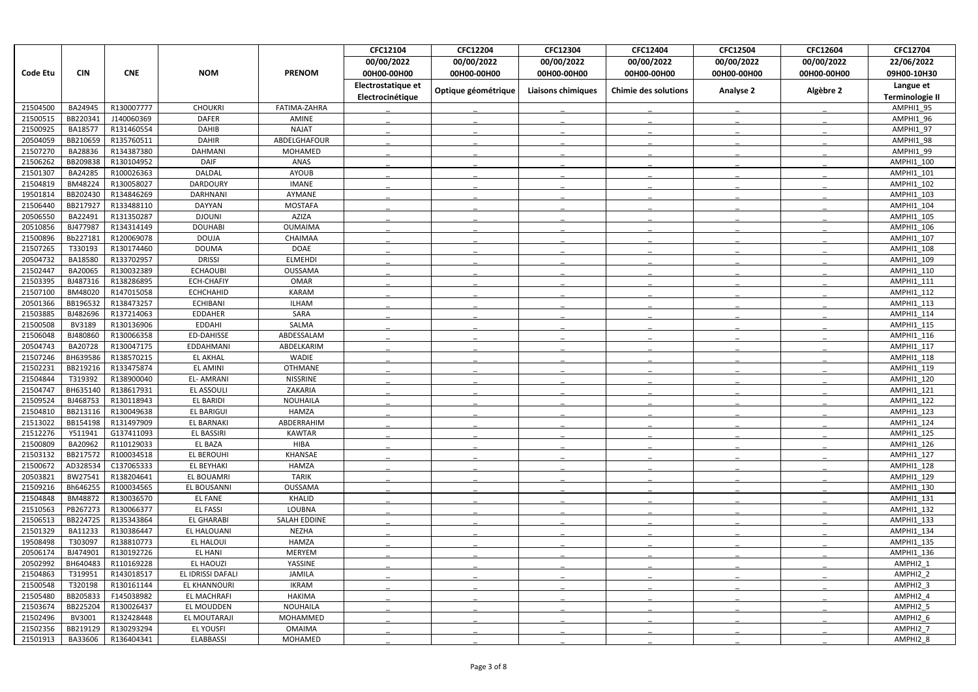|                 |            |            |                   |                 | CFC12104           | <b>CFC12204</b>     | CFC12304                  | CFC12404                    | <b>CFC12504</b>  | CFC12604    | CFC12704               |
|-----------------|------------|------------|-------------------|-----------------|--------------------|---------------------|---------------------------|-----------------------------|------------------|-------------|------------------------|
|                 |            |            |                   |                 | 00/00/2022         | 00/00/2022          | 00/00/2022                | 00/00/2022                  | 00/00/2022       | 00/00/2022  | 22/06/2022             |
| <b>Code Etu</b> | <b>CIN</b> | <b>CNE</b> | <b>NOM</b>        | <b>PRENOM</b>   | 00H00-00H00        | 00H00-00H00         | 00H00-00H00               | 00H00-00H00                 | 00H00-00H00      | 00H00-00H00 | 09H00-10H30            |
|                 |            |            |                   |                 | Electrostatique et |                     |                           |                             |                  |             | Langue et              |
|                 |            |            |                   |                 | Electrocinétique   | Optique géométrique | <b>Liaisons chimiques</b> | <b>Chimie des solutions</b> | <b>Analyse 2</b> | Algèbre 2   | <b>Terminologie II</b> |
| 21504500        | BA24945    | R130007777 | <b>CHOUKRI</b>    | FATIMA-ZAHRA    |                    |                     |                           |                             |                  |             | AMPHI1 95              |
| 21500515        | BB220341   | J140060369 | <b>DAFER</b>      | AMINE           |                    |                     |                           |                             |                  |             | AMPHI1_96              |
| 21500925        | BA18577    | R131460554 | DAHIB             | <b>NAJAT</b>    |                    |                     |                           |                             |                  |             | AMPHI1 97              |
| 20504059        | BB210659   | R135760511 | <b>DAHIR</b>      | ABDELGHAFOUR    |                    |                     |                           |                             |                  |             | AMPHI1 98              |
| 21507270        | BA28836    | R134387380 | DAHMANI           | <b>MOHAMED</b>  |                    |                     |                           |                             |                  |             | AMPHI1 99              |
| 21506262        | BB209838   | R130104952 | <b>DAIF</b>       | ANAS            |                    |                     |                           |                             |                  |             | AMPHI1 100             |
| 21501307        | BA24285    | R100026363 | DALDAL            | AYOUB           |                    |                     |                           |                             |                  |             | AMPHI1 101             |
| 21504819        | BM48224    | R130058027 | <b>DARDOURY</b>   | <b>IMANE</b>    |                    |                     |                           |                             |                  |             | AMPHI1 102             |
| 19501814        | BB202430   | R134846269 | <b>DARHNANI</b>   | AYMANE          |                    |                     |                           |                             |                  |             | AMPHI1 103             |
| 21506440        | BB217927   | R133488110 | DAYYAN            | <b>MOSTAFA</b>  |                    |                     |                           |                             |                  |             | AMPHI1 104             |
| 20506550        | BA22491    | R131350287 | <b>DJOUNI</b>     | <b>AZIZA</b>    |                    |                     |                           |                             |                  |             | AMPHI1 105             |
| 20510856        | BJ477987   | R134314149 | <b>DOUHABI</b>    | <b>OUMAIMA</b>  |                    |                     |                           |                             |                  |             | AMPHI1 106             |
| 21500896        | Bb227181   | R120069078 | <b>DOUJA</b>      | CHAIMAA         |                    |                     |                           |                             |                  |             | AMPHI1 107             |
| 21507265        | T330193    | R130174460 | <b>DOUMA</b>      | <b>DOAE</b>     |                    |                     |                           |                             |                  |             | AMPHI1 108             |
| 20504732        | BA18580    | R133702957 | <b>DRISSI</b>     | <b>ELMEHDI</b>  |                    |                     |                           |                             |                  |             | AMPHI1 109             |
| 2150244         | BA20065    | R130032389 | <b>ECHAOUBI</b>   | OUSSAMA         |                    |                     |                           |                             |                  |             | AMPHI1 110             |
| 21503395        | BJ487316   | R138286895 | <b>ECH-CHAFIY</b> | OMAR            |                    |                     |                           |                             |                  |             | AMPHI1 111             |
| 21507100        | BM48020    | R147015058 | <b>ECHCHAHID</b>  | <b>KARAM</b>    |                    |                     |                           |                             |                  |             | AMPHI1_112             |
| 20501366        | BB196532   | R138473257 | <b>ECHIBANI</b>   | <b>ILHAM</b>    |                    |                     |                           |                             |                  |             | AMPHI1 113             |
| 21503885        | BJ482696   | R137214063 | <b>EDDAHER</b>    | SARA            |                    |                     |                           |                             |                  |             | AMPHI1 114             |
| 21500508        | BV3189     | R130136906 | <b>EDDAHI</b>     | SALMA           |                    |                     |                           |                             |                  |             | AMPHI1 115             |
| 21506048        | BJ480860   | R130066358 | <b>ED-DAHISSE</b> | ABDESSALAM      |                    |                     |                           |                             |                  |             | AMPHI1 116             |
| 20504743        | BA20728    | R130047175 | EDDAHMANI         | ABDELKARIM      |                    |                     |                           |                             |                  |             | AMPHI1 117             |
| 21507246        | BH639586   | R138570215 | <b>EL AKHAL</b>   | WADIE           |                    |                     |                           |                             |                  |             | AMPHI1_118             |
| 21502231        | BB219216   | R133475874 | <b>EL AMINI</b>   | <b>OTHMANE</b>  |                    |                     |                           |                             |                  |             | AMPHI1 119             |
| 21504844        | T319392    | R138900040 | <b>EL-AMRANI</b>  | <b>NISSRINE</b> |                    |                     |                           |                             |                  |             | AMPHI1 120             |
| 21504747        | BH635140   | R138617931 | EL ASSOULI        | ZAKARIA         |                    |                     |                           |                             |                  |             | AMPHI1 121             |
| 21509524        | BJ468753   | R130118943 | <b>EL BARIDI</b>  | <b>NOUHAILA</b> |                    |                     |                           |                             |                  |             | AMPHI1 122             |
| 21504810        | BB213116   | R130049638 | <b>EL BARIGUI</b> | HAMZA           |                    |                     |                           |                             |                  |             | AMPHI1_123             |
| 21513022        | BB154198   | R131497909 | EL BARNAKI        | ABDERRAHIM      |                    |                     |                           |                             |                  |             | AMPHI1 124             |
| 21512276        | Y511941    | G137411093 | EL BASSIRI        | <b>KAWTAR</b>   |                    |                     |                           |                             |                  |             | AMPHI1 125             |
| 21500809        | BA20962    | R110129033 | EL BAZA           | <b>HIBA</b>     |                    |                     |                           |                             |                  |             | AMPHI1 126             |
| 21503132        | BB217572   | R100034518 | EL BEROUHI        | KHANSAE         |                    |                     |                           |                             |                  |             | AMPHI1 127             |
| 21500672        | AD328534   | C137065333 | EL BEYHAKI        | <b>HAMZA</b>    |                    |                     |                           |                             |                  |             | AMPHI1_128             |
| 20503821        | BW27541    | R138204641 | EL BOUAMRI        | TARIK           |                    |                     |                           |                             |                  |             | AMPHI1_129             |
| 21509216        | Bh646255   | R100034565 | EL BOUSANNI       | OUSSAMA         |                    |                     |                           |                             |                  |             | AMPHI1_130             |
| 21504848        | BM48872    | R130036570 | <b>EL FANE</b>    | KHALID          |                    |                     |                           |                             |                  |             | AMPHI1 131             |
| 21510563        | PB267273   | R130066377 | <b>EL FASSI</b>   | LOUBNA          |                    |                     |                           |                             |                  |             | AMPHI1_132             |
| 21506513        | BB224725   | R135343864 | <b>EL GHARABI</b> | SALAH EDDINE    |                    |                     |                           |                             |                  |             | AMPHI1 133             |
| 21501329        | BA11233    | R130386447 | EL HALOUANI       | NEZHA           |                    |                     |                           |                             |                  |             | AMPHI1 134             |
| 19508498        | T303097    | R138810773 | EL HALOUI         | <b>HAMZA</b>    |                    |                     |                           |                             |                  |             | AMPHI1 135             |
| 20506174        | BJ474901   | R130192726 | EL HANI           | MERYEM          |                    |                     |                           |                             |                  |             | AMPHI1 136             |
| 20502992        | BH640483   | R110169228 | EL HAOUZI         | YASSINE         |                    |                     |                           |                             |                  |             | AMPHI2 1               |
| 21504863        | T319951    | R143018517 | EL IDRISSI DAFALI | <b>JAMILA</b>   |                    |                     |                           |                             |                  |             | AMPHI2 2               |
| 21500548        | T320198    | R130161144 | EL KHANNOURI      | IKRAM           |                    |                     |                           |                             |                  |             | AMPHI2_3               |
| 21505480        | BB205833   | F145038982 | EL MACHRAFI       | <b>HAKIMA</b>   |                    |                     |                           |                             |                  |             | AMPHI2 4               |
| 21503674        | BB225204   | R130026437 | EL MOUDDEN        | NOUHAILA        |                    |                     |                           |                             |                  |             | AMPHI2 5               |
| 21502496        | BV3001     | R132428448 | EL MOUTARAJI      | MOHAMMED        |                    |                     |                           |                             |                  |             | AMPHI2 6               |
| 21502356        | BB219129   | R130293294 | EL YOUSFI         | <b>OMAIMA</b>   |                    |                     |                           |                             |                  |             | AMPHI2 7               |
| 21501913        | BA33606    | R136404341 | <b>ELABBASSI</b>  | MOHAMED         |                    |                     |                           |                             |                  |             | AMPHI2 8               |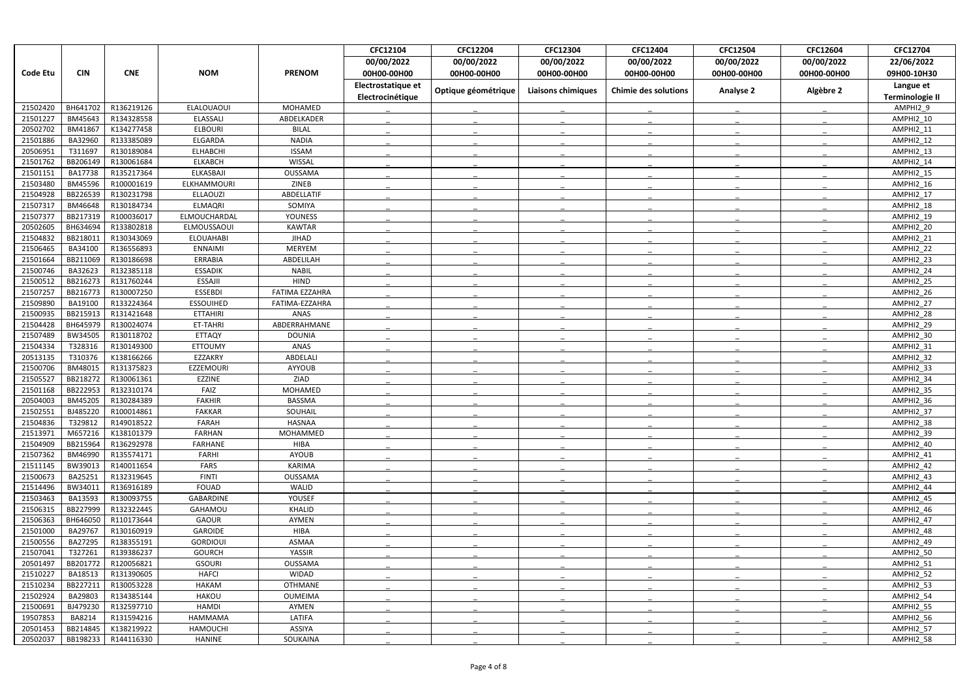|                      |                    |                          |                        |                       | CFC12104           | <b>CFC12204</b>     | CFC12304                  | CFC12404                    | <b>CFC12504</b>  | CFC12604    | CFC12704               |
|----------------------|--------------------|--------------------------|------------------------|-----------------------|--------------------|---------------------|---------------------------|-----------------------------|------------------|-------------|------------------------|
|                      |                    |                          |                        |                       | 00/00/2022         | 00/00/2022          | 00/00/2022                | 00/00/2022                  | 00/00/2022       | 00/00/2022  | 22/06/2022             |
| <b>Code Etu</b>      | <b>CIN</b>         | <b>CNE</b>               | <b>NOM</b>             | <b>PRENOM</b>         | 00H00-00H00        | 00H00-00H00         | 00H00-00H00               | 00H00-00H00                 | 00H00-00H00      | 00H00-00H00 | 09H00-10H30            |
|                      |                    |                          |                        |                       | Electrostatique et |                     |                           |                             |                  |             | Langue et              |
|                      |                    |                          |                        |                       | Electrocinétique   | Optique géométrique | <b>Liaisons chimiques</b> | <b>Chimie des solutions</b> | <b>Analyse 2</b> | Algèbre 2   | <b>Terminologie II</b> |
| 21502420             | BH641702           | R136219126               | <b>ELALOUAOUI</b>      | MOHAMED               |                    |                     |                           |                             |                  |             | AMPHI2 9               |
| 21501227             | BM45643            | R134328558               | <b>ELASSALI</b>        | ABDELKADER            |                    |                     |                           |                             |                  |             | AMPHI2_10              |
| 20502702             | BM41867            | K134277458               | <b>ELBOURI</b>         | <b>BILAL</b>          |                    |                     |                           |                             |                  |             | AMPHI2_11              |
| 21501886             | BA32960            | R133385089               | ELGARDA                | <b>NADIA</b>          |                    |                     |                           |                             |                  |             | AMPHI2 12              |
| 20506951             | T311697            | R130189084               | <b>ELHABCHI</b>        | <b>ISSAM</b>          |                    |                     |                           |                             |                  |             | AMPHI2 13              |
| 21501762             | BB206149           | R130061684               | <b>ELKABCH</b>         | WISSAL                |                    |                     |                           |                             |                  |             | AMPHI2 14              |
| 21501151             | BA17738            | R135217364               | ELKASBAJI              | OUSSAMA               |                    |                     |                           |                             |                  |             | AMPHI2 15              |
| 21503480             | BM45596            | R100001619               | ELKHAMMOURI            | ZINEB                 |                    |                     |                           |                             |                  |             | AMPHI2_16              |
| 21504928             | BB226539           | R130231798               | <b>ELLAOUZI</b>        | ABDELLATIF            |                    |                     |                           |                             |                  |             | AMPHI2 17              |
| 21507317             | BM46648            | R130184734               | <b>ELMAQRI</b>         | SOMIYA                |                    |                     |                           |                             |                  |             | AMPHI2 18              |
| 21507377             | BB217319           | R100036017               | ELMOUCHARDAL           | <b>YOUNESS</b>        |                    |                     |                           |                             |                  |             | AMPHI2_19              |
| 20502605             | BH634694           | R133802818               | ELMOUSSAOUI            | <b>KAWTAR</b>         |                    |                     |                           |                             |                  |             | AMPHI2 20              |
| 21504832             | BB218011           | R130343069               | <b>ELOUAHABI</b>       | <b>JIHAD</b>          |                    |                     |                           |                             |                  |             | AMPHI2_21              |
| 21506465             | BA34100            | R136556893               | <b>ENNAIMI</b>         | <b>MERYEM</b>         |                    |                     |                           |                             |                  |             | AMPHI2 22              |
| 21501664             | BB211069           | R130186698               | ERRABIA                | ABDELILAH             |                    |                     |                           |                             |                  |             | AMPHI2 23              |
| 21500746             | BA32623            | R132385118               | <b>ESSADIK</b>         | <b>NABIL</b>          |                    |                     |                           |                             |                  |             | AMPHI2 24              |
| 21500512             | BB216273           | R131760244               | ESSAJII                | <b>HIND</b>           |                    |                     |                           |                             |                  |             | AMPHI2 25              |
| 21507257             | BB216773           | R130007250               | <b>ESSEBDI</b>         | <b>FATIMA EZZAHRA</b> |                    |                     |                           |                             |                  |             | AMPHI2_26              |
| 21509890             | BA19100            | R133224364               | <b>ESSOUIHED</b>       | FATIMA-EZZAHRA        |                    |                     |                           |                             |                  |             | AMPHI2 27              |
| 21500935             | BB215913           | R131421648               | <b>ETTAHIRI</b>        | ANAS                  |                    |                     |                           |                             |                  |             | AMPHI2 28              |
| 21504428             | BH645979           | R130024074               | ET-TAHRI               | ABDERRAHMANE          |                    |                     |                           |                             |                  |             | AMPHI2 29              |
| 21507489             | BW34505            | R130118702               | <b>ETTAQY</b>          | <b>DOUNIA</b>         |                    |                     |                           |                             |                  |             | AMPHI2 30              |
| 21504334             | T328316            | R130149300               | <b>ETTOUMY</b>         | ANAS                  |                    |                     |                           |                             |                  |             | AMPHI2 31              |
| 20513135             | T310376            | K138166266               | EZZAKRY                | ABDELALI              |                    |                     |                           |                             |                  |             | AMPHI2_32              |
| 21500706             | BM48015            | R131375823               | EZZEMOURI              | AYYOUB                |                    |                     |                           |                             |                  |             | AMPHI2 33              |
| 21505527             | BB218272           | R130061361               | EZZINE                 | ZIAD                  |                    |                     |                           |                             |                  |             | AMPHI2 34              |
| 21501168             | BB222953           | R132310174               | FAIZ                   | MOHAMED               |                    |                     |                           |                             |                  |             | AMPHI2 35              |
| 20504003             | BM45205            | R130284389<br>R100014861 | <b>FAKHIR</b>          | <b>BASSMA</b>         |                    |                     |                           |                             |                  |             | AMPHI2 36              |
| 21502551             | BJ485220           |                          | <b>FAKKAR</b>          | SOUHAIL               |                    |                     |                           |                             |                  |             | AMPHI2_37              |
| 21504836<br>21513971 | T329812<br>M657216 | R149018522<br>K138101379 | FARAH<br><b>FARHAN</b> | HASNAA<br>MOHAMMED    |                    |                     |                           |                             |                  |             | AMPHI2 38<br>AMPHI2 39 |
| 21504909             | BB215964           | R136292978               | FARHANE                | <b>HIBA</b>           |                    |                     |                           |                             |                  |             | AMPHI2 40              |
| 21507362             | BM46990            | R135574171               | FARHI                  | AYOUB                 |                    |                     |                           |                             |                  |             | AMPHI2_41              |
| 21511145             | BW39013            | R140011654               | FARS                   | <b>KARIMA</b>         |                    |                     |                           |                             |                  |             | AMPHI2_42              |
| 21500673             | BA25251            | R132319645               | <b>FINTI</b>           | OUSSAMA               |                    |                     |                           |                             |                  |             | AMPHI2_43              |
| 21514496             | BW34011            | R136916189               | <b>FOUAD</b>           | WALID                 |                    |                     |                           |                             |                  |             | AMPHI2_44              |
| 21503463             | BA13593            | R130093755               | GABARDINE              | YOUSEF                |                    |                     |                           |                             |                  |             | AMPHI2 45              |
| 21506315             | BB227999           | R132322445               | GAHAMOU                | KHALID                |                    |                     |                           |                             |                  |             | AMPHI2 46              |
| 21506363             | BH646050           | R110173644               | <b>GAOUR</b>           | AYMEN                 |                    |                     |                           |                             |                  |             | AMPHI2 47              |
| 21501000             | BA29767            | R130160919               | GAROIDE                | <b>HIBA</b>           |                    |                     |                           |                             |                  |             | AMPHI2_48              |
| 21500556             | BA27295            | R138355191               | <b>GORDIOUI</b>        | ASMAA                 |                    |                     |                           |                             |                  |             | AMPHI2 49              |
| 21507041             | T327261            | R139386237               | <b>GOURCH</b>          | YASSIR                |                    |                     |                           |                             |                  |             | AMPHI2 50              |
| 20501497             | BB201772           | R120056821               | <b>GSOURI</b>          | OUSSAMA               |                    |                     |                           |                             |                  |             | AMPHI2_51              |
| 21510227             | BA18513            | R131390605               | <b>HAFCI</b>           | WIDAD                 |                    |                     |                           |                             |                  |             | AMPHI2 52              |
| 21510234             | BB227211           | R130053228               | HAKAM                  | OTHMANE               |                    |                     |                           |                             |                  |             | AMPHI2_53              |
| 21502924             | BA29803            | R134385144               | <b>HAKOU</b>           | OUMEIMA               |                    |                     |                           |                             |                  |             | AMPHI2_54              |
| 21500691             | BJ479230           | R132597710               | <b>HAMDI</b>           | AYMEN                 |                    |                     |                           |                             |                  |             | AMPHI2_55              |
| 19507853             | BA8214             | R131594216               | HAMMAMA                | LATIFA                |                    |                     |                           |                             |                  |             | AMPHI2_56              |
| 20501453             | BB214845           | K138219922               | <b>HAMOUCHI</b>        | ASSIYA                |                    |                     |                           |                             |                  |             | AMPHI2 57              |
| 20502037             | BB198233           | R144116330               | HANINE                 | SOUKAINA              |                    |                     |                           |                             |                  |             | AMPHI2_58              |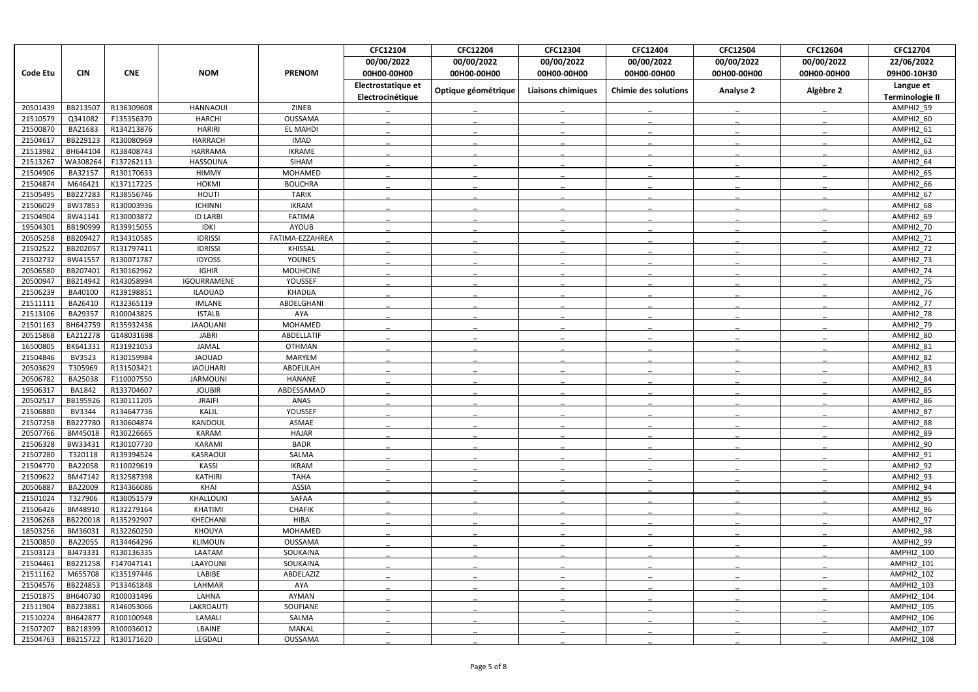|                      |                     |                          |                   |                     | CFC12104           | CFC12204            | CFC12304                  | CFC12404                    | CFC12504         | CFC12604    | CFC12704                |
|----------------------|---------------------|--------------------------|-------------------|---------------------|--------------------|---------------------|---------------------------|-----------------------------|------------------|-------------|-------------------------|
|                      |                     |                          |                   |                     | 00/00/2022         | 00/00/2022          | 00/00/2022                | 00/00/2022                  | 00/00/2022       | 00/00/2022  | 22/06/2022              |
| <b>Code Etu</b>      | <b>CIN</b>          | <b>CNE</b>               | <b>NOM</b>        | <b>PRENOM</b>       | 00H00-00H00        | 00H00-00H00         | 00H00-00H00               | 00H00-00H00                 | 00H00-00H00      | 00H00-00H00 | 09H00-10H30             |
|                      |                     |                          |                   |                     | Electrostatique et |                     |                           |                             |                  |             | Langue et               |
|                      |                     |                          |                   |                     | Electrocinétique   | Optique géométrique | <b>Liaisons chimiques</b> | <b>Chimie des solutions</b> | <b>Analyse 2</b> | Algèbre 2   | <b>Terminologie II</b>  |
| 20501439             | BB213507            | R136309608               | <b>HANNAOUI</b>   | ZINEB               |                    |                     |                           |                             |                  |             | AMPHI2 59               |
| 21510579             | Q341082             | F135356370               | <b>HARCHI</b>     | OUSSAMA             |                    |                     |                           |                             |                  |             | AMPHI2 60               |
| 21500870             | BA21683             | R134213876               | <b>HARIRI</b>     | <b>EL MAHDI</b>     |                    |                     |                           |                             |                  |             | AMPHI2 61               |
| 21504617             | BB229123            | R130080969               | <b>HARRACH</b>    | <b>IMAD</b>         |                    |                     |                           |                             |                  |             | AMPHI2 62               |
| 21513982             | BH644104            | R138408743               | HARRAMA           | <b>IKRAME</b>       |                    |                     |                           |                             |                  |             | AMPHI2 63               |
| 21513267             | WA308264            | F137262113               | HASSOUNA          | SIHAM               |                    |                     |                           |                             |                  |             | AMPHI2 64               |
| 21504906             | BA32157             | R130170633               | <b>HIMMY</b>      | MOHAMED             |                    |                     |                           |                             |                  |             | AMPHI2 65               |
| 21504874             | M646421             | K137117225               | <b>HOKMI</b>      | <b>BOUCHRA</b>      |                    |                     |                           |                             |                  |             | AMPHI2 66               |
| 21505495             | BB227283            | R138556746               | <b>HOUTI</b>      | <b>TARIK</b>        |                    |                     |                           |                             |                  |             | AMPHI2 67               |
| 21506029             | BW37853             | R130003936               | <b>ICHINNI</b>    | <b>IKRAM</b>        |                    |                     |                           |                             |                  |             | AMPHI2 68               |
| 21504904             | BW41141             | R130003872               | <b>ID LARBI</b>   | <b>FATIMA</b>       |                    |                     |                           |                             |                  |             | AMPHI2 69               |
| 19504301             | BB190999            | R139915055               | <b>IDKI</b>       | <b>AYOUB</b>        |                    |                     |                           |                             |                  |             | <b>AMPHI2 70</b>        |
| 20505258             | BB209427            | R134310585               | <b>IDRISSI</b>    | FATIMA-EZZAHREA     |                    |                     |                           |                             |                  |             | AMPHI2 71               |
| 21502522             | BB202057            | R131797411               | <b>IDRISSI</b>    | <b>KHISSAL</b>      |                    |                     |                           |                             |                  |             | AMPHI2 72               |
| 21502732             | BW41557             | R130071787               | <b>IDYOSS</b>     | <b>YOUNES</b>       |                    |                     |                           |                             |                  |             | AMPHI2 73               |
| 20506580             | BB207401            | R130162962               | <b>IGHIR</b>      | <b>MOUHCINE</b>     |                    |                     |                           |                             |                  |             | AMPHI2 74               |
| 20500947             | BB214942            | R143058994               | IGOURRAMENE       | YOUSSEF             |                    |                     |                           |                             |                  |             | AMPHI2 75               |
| 21506239             | BA40100             | R139198851               | <b>ILAOUAD</b>    | <b>KHADIJA</b>      |                    |                     |                           |                             |                  |             | AMPHI2 76               |
| 21511111             | BA26410             | R132365119               | <b>IMLANE</b>     | ABDELGHANI          |                    |                     |                           |                             |                  |             | AMPHI2 77               |
| 21513106             | BA29357             | R100043825               | <b>ISTALB</b>     | AYA                 |                    |                     |                           |                             |                  |             | AMPHI2 78               |
| 21501163             | BH642759            | R135932436               | <b>JAAOUANI</b>   | MOHAMED             |                    |                     |                           |                             |                  |             | AMPHI2 79               |
| 20515868             | EA212278            | G148031698               | <b>JABRI</b>      | ABDELLATIF          |                    |                     |                           |                             |                  |             | AMPHI2 80               |
| 16500805             | BK641331            | R131921053               | <b>JAMAL</b>      | <b>OTHMAN</b>       |                    |                     |                           |                             |                  |             | AMPHI2 81               |
| 21504846             | <b>BV3523</b>       | R130159984               | <b>JAOUAD</b>     | <b>MARYEM</b>       |                    |                     |                           |                             |                  |             | AMPHI2_82               |
| 20503629             | T305969             | R131503421               | <b>JAOUHARI</b>   | ABDELILAH           |                    |                     |                           |                             |                  |             | AMPHI2 83               |
| 20506782             | BA25038             | F110007550               | <b>JARMOUNI</b>   | HANANE              |                    |                     |                           |                             |                  |             | AMPHI2 84               |
| 19506317             | <b>BA1842</b>       | R133704607               | <b>JOUBIR</b>     | ABDESSAMAD          |                    |                     |                           |                             |                  |             | AMPHI2 85               |
| 20502517             | BB195926            | R130111205               | <b>JRAIFI</b>     | ANAS                |                    |                     |                           |                             |                  |             | AMPHI2 86               |
| 21506880             | BV3344              | R134647736               | KALIL             | YOUSSEF             |                    |                     |                           |                             |                  |             | AMPHI2_87               |
| 21507258             | BB227780            | R130604874               | KANDOUL           | ASMAE               |                    |                     |                           |                             |                  |             | AMPHI2 88               |
| 20507766             | BM45018             | R130226665               | <b>KARAM</b>      | <b>HAJAR</b>        |                    |                     |                           |                             |                  |             | AMPHI2 89               |
| 21506328             | BW33431             | R130107730               | KARAMI            | <b>BADR</b>         |                    |                     |                           |                             |                  |             | AMPHI2 90               |
| 21507280             | T320118             | R139394524               | KASRAOUI          | SALMA               |                    |                     |                           |                             |                  |             | AMPHI2 91               |
| 21504770             | BA22058             | R110029619               | <b>KASSI</b>      | <b>IKRAM</b>        |                    |                     |                           |                             |                  |             | AMPHI2_92               |
| 21509622             | BM47142             | R132587398               | <b>KATHIRI</b>    | <b>TAHA</b>         |                    |                     |                           |                             |                  |             | AMPHI2_93               |
| 20506887             | BA22009             | R134366086               | KHAI              | ASSIA               |                    |                     |                           |                             |                  |             | AMPHI2 94               |
| 21501024             | T327906             | R130051579               | KHALLOUKI         | SAFAA               |                    |                     |                           |                             |                  |             | AMPHI2_95               |
| 21506426             | BM48910             | R132279164               | KHATIMI           | <b>CHAFIK</b>       |                    |                     |                           |                             |                  |             | AMPHI2_96               |
| 21506268             | BB220018            | R135292907               | KHECHANI          | <b>HIBA</b>         |                    |                     |                           |                             |                  |             | AMPHI2_97               |
| 18503256<br>21500850 | BM36031             | R132260250               | KHOUYA            | MOHAMED             |                    |                     |                           |                             |                  |             | AMPHI2_98               |
| 21503123             | BA22055<br>BJ473331 | R134464296<br>R130136335 | KLIMOUN<br>LAATAM | OUSSAMA<br>SOUKAINA |                    |                     |                           |                             |                  |             | AMPHI2 99<br>AMPHI2_100 |
|                      | BB221258            | F147047141               | LAAYOUNI          | SOUKAINA            |                    |                     |                           |                             |                  |             | AMPHI2_101              |
| 21504461<br>21511162 | M655708             | K135197446               | LABIBE            | ABDELAZIZ           |                    |                     |                           |                             |                  |             | AMPHI2_102              |
| 21504576             | BB224853            | P133461848               | LAHMAR            | AYA                 |                    |                     |                           |                             |                  |             | AMPHI2_103              |
| 21501875             | BH640730            | R100031496               | LAHNA             | AYMAN               |                    |                     |                           |                             |                  |             | <b>AMPHI2 104</b>       |
| 21511904             | BB223881            | R146053066               | LAKROAUTI         | SOUFIANE            |                    |                     |                           |                             |                  |             | AMPHI2_105              |
| 21510224             | BH642877            | R100100948               | LAMALI            | SALMA               |                    |                     |                           |                             |                  |             | AMPHI2_106              |
| 21507207             | BB218399            | R100036012               | LBAINE            | MANAL               |                    |                     |                           |                             |                  |             | AMPHI2_107              |
| 21504763             | BB215722            | R130171620               | LEGDALI           | OUSSAMA             |                    |                     |                           |                             |                  |             | AMPHI2_108              |
|                      |                     |                          |                   |                     |                    |                     |                           |                             |                  |             |                         |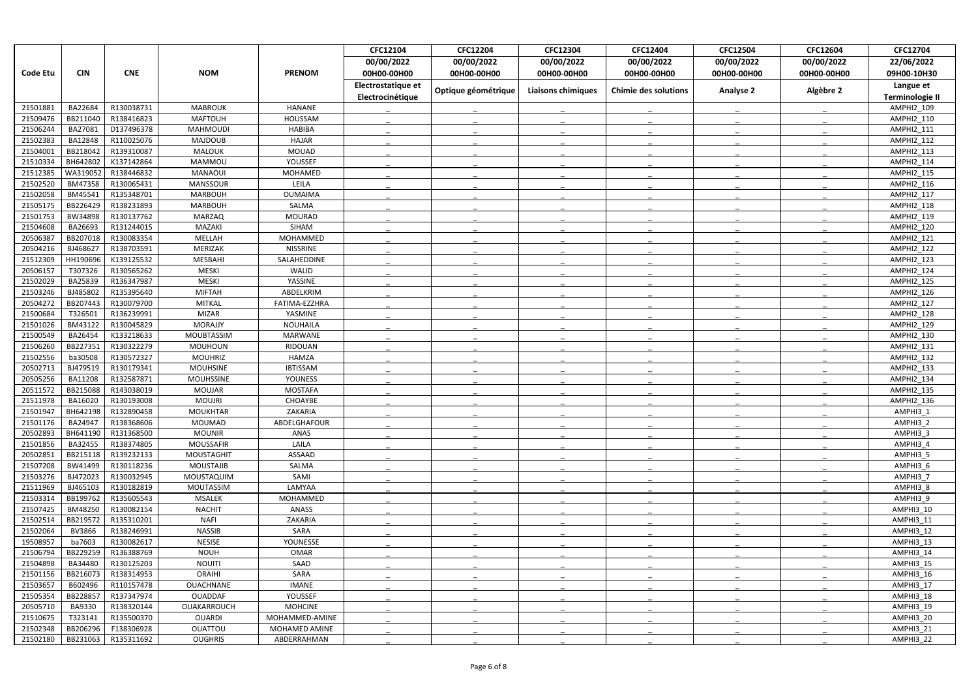|                      |                     |                          |                                |                           | CFC12104           | <b>CFC12204</b>     | CFC12304                  | CFC12404                    | <b>CFC12504</b>  | CFC12604    | CFC12704                               |
|----------------------|---------------------|--------------------------|--------------------------------|---------------------------|--------------------|---------------------|---------------------------|-----------------------------|------------------|-------------|----------------------------------------|
|                      |                     |                          |                                |                           | 00/00/2022         | 00/00/2022          | 00/00/2022                | 00/00/2022                  | 00/00/2022       | 00/00/2022  | 22/06/2022                             |
| <b>Code Etu</b>      | <b>CIN</b>          | <b>CNE</b>               | <b>NOM</b>                     | <b>PRENOM</b>             | 00H00-00H00        | 00H00-00H00         | 00H00-00H00               | 00H00-00H00                 | 00H00-00H00      | 00H00-00H00 | 09H00-10H30                            |
|                      |                     |                          |                                |                           | Electrostatique et |                     |                           |                             |                  |             | Langue et                              |
|                      |                     |                          |                                |                           | Electrocinétique   | Optique géométrique | <b>Liaisons chimiques</b> | <b>Chimie des solutions</b> | <b>Analyse 2</b> | Algèbre 2   | <b>Terminologie II</b>                 |
| 21501881             | BA22684             | R130038731               | <b>MABROUK</b>                 | <b>HANANE</b>             |                    |                     |                           |                             |                  |             | AMPHI2 109                             |
| 21509476             | BB211040            | R138416823               | <b>MAFTOUH</b>                 | HOUSSAM                   |                    |                     |                           |                             |                  |             | AMPHI2_110                             |
| 21506244             | BA27081             | D137496378               | <b>MAHMOUDI</b>                | <b>HABIBA</b>             |                    |                     |                           |                             |                  |             | AMPHI2_111                             |
| 21502383             | BA12848             | R110025076               | <b>MAJDOUB</b>                 | <b>HAJAR</b>              |                    |                     |                           |                             |                  |             | <b>AMPHI2 112</b>                      |
| 21504001             | BB218042            | R139310087               | <b>MALOUK</b>                  | <b>MOUAD</b>              |                    |                     |                           |                             |                  |             | <b>AMPHI2 113</b>                      |
| 21510334             | BH642802            | K137142864               | MAMMOU                         | YOUSSEF                   |                    |                     |                           |                             |                  |             | <b>AMPHI2 114</b>                      |
| 21512385             | WA319052            | R138446832               | MANAOUI                        | MOHAMED                   |                    |                     |                           |                             |                  |             | <b>AMPHI2 115</b>                      |
| 21502520             | BM47358             | R130065431               | <b>MANSSOUR</b>                | LEILA                     |                    |                     |                           |                             |                  |             | AMPHI2_116                             |
| 21502058             | BM45541             | R135348701               | <b>MARBOUH</b>                 | <b>OUMAIMA</b>            |                    |                     |                           |                             |                  |             | <b>AMPHI2 117</b>                      |
| 21505175             | BB226429            | R138231893               | <b>MARBOUH</b>                 | SALMA                     |                    |                     |                           |                             |                  |             | <b>AMPHI2 118</b>                      |
| 21501753             | BW34898             | R130137762               | <b>MARZAQ</b>                  | <b>MOURAD</b>             |                    |                     |                           |                             |                  |             | <b>AMPHI2 119</b>                      |
| 21504608             | BA26693             | R131244015               | MAZAKI                         | SIHAM                     |                    |                     |                           |                             |                  |             | <b>AMPHI2 120</b>                      |
| 2050638              | BB207018            | R130083354               | MELLAH                         | MOHAMMED                  |                    |                     |                           |                             |                  |             | AMPHI2_121                             |
| 20504216             | BJ468627            | R138703591               | MERIZAK                        | <b>NISSRINE</b>           |                    |                     |                           |                             |                  |             | <b>AMPHI2 122</b>                      |
| 21512309             | HH190696            | K139125532               | <b>MESBAHI</b>                 | SALAHEDDINE               |                    |                     |                           |                             |                  |             | <b>AMPHI2 123</b>                      |
| 20506157             | T307326             | R130565262               | <b>MESKI</b>                   | WALID                     |                    |                     |                           |                             |                  |             | <b>AMPHI2 124</b>                      |
| 21502029             | BA25839             | R136347987               | MESKI                          | YASSINE                   |                    |                     |                           |                             |                  |             | AMPHI2_125                             |
| 21503246             | BJ485802            | R135395640               | <b>MIFTAH</b>                  | ABDELKRIM                 |                    |                     |                           |                             |                  |             | AMPHI2_126                             |
| 20504272             | BB207443            | R130079700               | <b>MITKAL</b>                  | FATIMA-EZZHRA             |                    |                     |                           |                             |                  |             | <b>AMPHI2 127</b>                      |
| 21500684             | T326501             | R136239991               | <b>MIZAR</b>                   | YASMINE                   |                    |                     |                           |                             |                  |             | <b>AMPHI2 128</b>                      |
| 21501026             | BM43122             | R130045829               | <b>MORAJJY</b>                 | <b>NOUHAILA</b>           |                    |                     |                           |                             |                  |             | <b>AMPHI2 129</b>                      |
| 21500549             | BA26454             | K133218633               | MOUBTASSIM                     | <b>MARWANE</b>            |                    |                     |                           |                             |                  |             | AMPHI2_130                             |
| 21506260             | BB227351            | R130322279               | MOUHOUN                        | RIDOUAN                   |                    |                     |                           |                             |                  |             | <b>AMPHI2 131</b>                      |
| 21502556             | ba30508             | R130572327               | <b>MOUHRIZ</b>                 | <b>HAMZA</b>              |                    |                     |                           |                             |                  |             | AMPHI2_132                             |
| 20502713             | BJ479519            | R130179341               | <b>MOUHSINE</b>                | <b>IBTISSAM</b>           |                    |                     |                           |                             |                  |             | <b>AMPHI2 133</b>                      |
| 20505256             | BA11208<br>BB215088 | R132587871               | <b>MOUHSSINE</b>               | <b>YOUNESS</b>            |                    |                     |                           |                             |                  |             | <b>AMPHI2 134</b>                      |
| 20511572<br>21511978 | BA16020             | R143038019<br>R130193008 | <b>MOUJAR</b><br><b>MOUJRI</b> | <b>MOSTAFA</b><br>CHOAYBE |                    |                     |                           |                             |                  |             | <b>AMPHI2 135</b><br><b>AMPHI2 136</b> |
| 21501947             | BH642198            | R132890458               | <b>MOUKHTAR</b>                | ZAKARIA                   |                    |                     |                           |                             |                  |             | AMPHI3_1                               |
| 21501176             | BA24947             | R138368606               | MOUMAD                         | ABDELGHAFOUR              |                    |                     |                           |                             |                  |             | AMPHI3 2                               |
| 20502893             | BH641190            | R131368500               | <b>MOUNIR</b>                  | ANAS                      |                    |                     |                           |                             |                  |             | AMPHI3 3                               |
| 21501856             | BA32455             | R138374805               | <b>MOUSSAFIR</b>               | LAILA                     |                    |                     |                           |                             |                  |             | AMPHI3 4                               |
| 20502851             | BB215118            | R139232133               | MOUSTAGHIT                     | ASSAAD                    |                    |                     |                           |                             |                  |             | AMPHI3 5                               |
| 21507208             | BW41499             | R130118236               | <b>MOUSTAJIB</b>               | SALMA                     |                    |                     |                           |                             |                  |             | AMPHI3_6                               |
| 21503276             | BJ472023            | R130032945               | MOUSTAQUIM                     | SAMI                      |                    |                     |                           |                             |                  |             | AMPHI3_7                               |
| 21511969             | BJ465103            | R130182819               | MOUTASSIM                      | LAMYAA                    |                    |                     |                           |                             |                  |             | AMPHI3 8                               |
| 21503314             | BB199762            | R135605543               | <b>MSALEK</b>                  | MOHAMMED                  |                    |                     |                           |                             |                  |             | AMPHI3 9                               |
| 21507425             | BM48250             | R130082154               | <b>NACHIT</b>                  | ANASS                     |                    |                     |                           |                             |                  |             | AMPHI3_10                              |
| 21502514             | BB219572            | R135310201               | <b>NAFI</b>                    | ZAKARIA                   |                    |                     |                           |                             |                  |             | AMPHI3 11                              |
| 21502064             | BV3866              | R138246991               | <b>NASSIB</b>                  | SARA                      |                    |                     |                           |                             |                  |             | AMPHI3 12                              |
| 19508957             | ba7603              | R130082617               | <b>NESISE</b>                  | YOUNESSE                  |                    |                     |                           |                             |                  |             | AMPHI3 13                              |
| 21506794             | BB229259            | R136388769               | <b>NOUH</b>                    | <b>OMAR</b>               |                    |                     |                           |                             |                  |             | AMPHI3 14                              |
| 21504898             | BA34480             | R130125203               | <b>NOUITI</b>                  | SAAD                      |                    |                     |                           |                             |                  |             | AMPHI3_15                              |
| 21501156             | BB216073            | R138314953               | <b>ORAIHI</b>                  | SARA                      |                    |                     |                           |                             |                  |             | AMPHI3 16                              |
| 21503657             | B602496             | R110157478               | OUACHNANE                      | <b>IMANE</b>              |                    |                     |                           |                             |                  |             | AMPHI3_17                              |
| 21505354             | BB228857            | R137347974               | OUADDAF                        | YOUSSEF                   |                    |                     |                           |                             |                  |             | AMPHI3_18                              |
| 20505710             | BA9330              | R138320144               | OUAKARROUCH                    | <b>MOHCINE</b>            |                    |                     |                           |                             |                  |             | AMPHI3 19                              |
| 21510675             | T323141             | R135500370               | <b>OUARDI</b>                  | MOHAMMED-AMINE            |                    |                     |                           |                             |                  |             | AMPHI3_20                              |
| 21502348             | BB206296            | F138306928               | OUATTOU                        | MOHAMED AMINE             |                    |                     |                           |                             |                  |             | AMPHI3 21                              |
| 21502180             | BB231063            | R135311692               | <b>OUGHRIS</b>                 | ABDERRAHMAN               |                    |                     |                           |                             |                  |             | AMPHI3_22                              |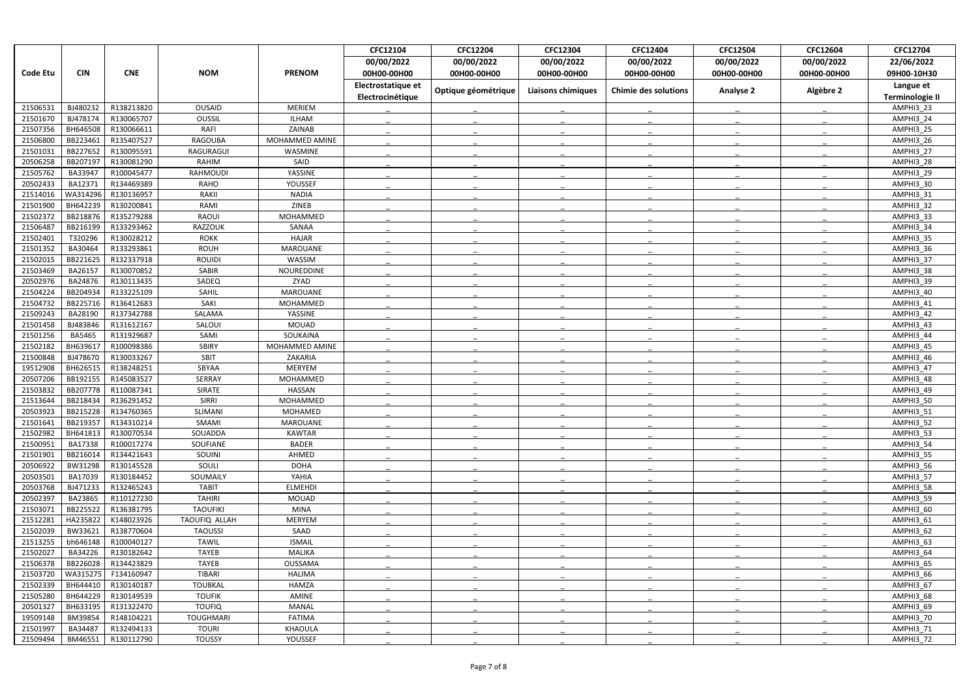|                      |                      |                          |                      |                           | CFC12104           | CFC12204            | CFC12304                  | CFC12404                    | CFC12504         | CFC12604    | CFC12704               |
|----------------------|----------------------|--------------------------|----------------------|---------------------------|--------------------|---------------------|---------------------------|-----------------------------|------------------|-------------|------------------------|
|                      |                      |                          |                      |                           | 00/00/2022         | 00/00/2022          | 00/00/2022                | 00/00/2022                  | 00/00/2022       | 00/00/2022  | 22/06/2022             |
| <b>Code Etu</b>      | <b>CIN</b>           | <b>CNE</b>               | <b>NOM</b>           | <b>PRENOM</b>             | 00H00-00H00        | 00H00-00H00         | 00H00-00H00               | 00H00-00H00                 | 00H00-00H00      | 00H00-00H00 | 09H00-10H30            |
|                      |                      |                          |                      |                           | Electrostatique et |                     |                           |                             |                  |             | Langue et              |
|                      |                      |                          |                      |                           | Electrocinétique   | Optique géométrique | <b>Liaisons chimiques</b> | <b>Chimie des solutions</b> | <b>Analyse 2</b> | Algèbre 2   | <b>Terminologie II</b> |
| 21506531             | BJ480232             | R138213820               | <b>OUSAID</b>        | <b>MERIEM</b>             |                    |                     |                           |                             |                  |             | AMPHI3 23              |
| 21501670             | BJ478174             | R130065707               | OUSSIL               | <b>ILHAM</b>              |                    |                     |                           |                             |                  |             | AMPHI3 24              |
| 21507356             | BH646508             | R130066611               | <b>RAFI</b>          | ZAINAB                    |                    |                     |                           |                             |                  |             | AMPHI3_25              |
| 21506800             | BB223461             | R135407527               | RAGOUBA              | MOHAMMED AMINE            |                    |                     |                           |                             |                  |             | AMPHI3 26              |
| 21501031             | BB227652             | R130095591               | RAGURAGUI            | WASMINE                   |                    |                     |                           |                             |                  |             | AMPHI3 27              |
| 20506258             | BB207197             | R130081290               | RAHIM                | SAID                      |                    |                     |                           |                             |                  |             | AMPHI3 28              |
| 21505762             | BA33947              | R100045477               | <b>RAHMOUDI</b>      | YASSINE                   |                    |                     |                           |                             |                  |             | AMPHI3 29              |
| 20502433             | BA12371              | R134469389               | <b>RAHO</b>          | YOUSSEF                   |                    |                     |                           |                             |                  |             | AMPHI3_30              |
| 21514016             | WA314296             | R130136957               | RAKII                | <b>NADIA</b>              |                    |                     |                           |                             |                  |             | AMPHI3 31              |
| 21501900             | BH642239             | R130200841               | RAMI                 | ZINEB                     |                    |                     |                           |                             |                  |             | AMPHI3 32              |
| 21502372             | BB218876             | R135279288               | RAOUI                | MOHAMMED                  |                    |                     |                           |                             |                  |             | AMPHI3_33              |
| 21506487             | BB216199             | R133293462               | RAZZOUK              | SANAA                     |                    |                     |                           |                             |                  |             | AMPHI3 34              |
| 21502401             | T320296              | R130028212               | <b>ROKK</b>          | <b>HAJAR</b>              |                    |                     |                           |                             |                  |             | AMPHI3_35              |
| 21501352             | BA30464              | R133293861               | <b>ROUH</b>          | <b>MAROUANE</b>           |                    |                     |                           |                             |                  |             | AMPHI3 36              |
| 21502015             | BB221625             | R132337918               | <b>ROUIDI</b>        | WASSIM                    |                    |                     |                           |                             |                  |             | AMPHI3 37              |
| 21503469             | BA26157              | R130070852               | <b>SABIR</b>         | NOUREDDINE                |                    |                     |                           |                             |                  |             | AMPHI3 38              |
| 20502976             | BA24876              | R130113435               | SADEQ                | ZYAD                      |                    |                     |                           |                             |                  |             | AMPHI3 39              |
| 21504224             | BB204934             | R133225109               | SAHIL                | <b>MAROUANE</b>           |                    |                     |                           |                             |                  |             | AMPHI3_40              |
| 21504732             | BB225716             | R136412683               | SAKI                 | MOHAMMED                  |                    |                     |                           |                             |                  |             | AMPHI3 41              |
| 21509243             | BA28190              | R137342788               | SALAMA               | YASSINE                   |                    |                     |                           |                             |                  |             | AMPHI3 42              |
| 21501458             | BJ483846             | R131612167               | SALOUI               | <b>MOUAD</b>              |                    |                     |                           |                             |                  |             | AMPHI3 43              |
| 21501256             | <b>BA5465</b>        | R131929687               | SAMI                 | SOUKAINA                  |                    |                     |                           |                             |                  |             | AMPHI3 44              |
| 21502182<br>21500848 | BH639617<br>BJ478670 | R100098386<br>R130033267 | <b>SBIRY</b><br>SBIT | MOHAMMED AMINE<br>ZAKARIA |                    |                     |                           |                             |                  |             | AMPHI3 45              |
| 19512908             | BH626515             | R138248251               | SBYAA                | MERYEM                    |                    |                     |                           |                             |                  |             | AMPHI3_46<br>AMPHI3 47 |
| 20507206             | BB192155             | R145083527               | SERRAY               | MOHAMMED                  |                    |                     |                           |                             |                  |             | AMPHI3 48              |
| 21503832             | BB207778             | R110087341               | SIRATE               | <b>HASSAN</b>             |                    |                     |                           |                             |                  |             | AMPHI3 49              |
| 21513644             | BB218434             | R136291452               | SIRRI                | MOHAMMED                  |                    |                     |                           |                             |                  |             | AMPHI3 50              |
| 20503923             | BB215228             | R134760365               | SLIMANI              | MOHAMED                   |                    |                     |                           |                             |                  |             | AMPHI3_51              |
| 21501641             | BB219357             | R134310214               | SMAMI                | MAROUANE                  |                    |                     |                           |                             |                  |             | AMPHI3 52              |
| 21502982             | BH641813             | R130070534               | SOUADDA              | <b>KAWTAR</b>             |                    |                     |                           |                             |                  |             | AMPHI3 53              |
| 21500951             | BA17338              | R100017274               | SOUFIANE             | <b>BADER</b>              |                    |                     |                           |                             |                  |             | AMPHI3 54              |
| 21501901             | BB216014             | R134421643               | SOUINI               | AHMED                     |                    |                     |                           |                             |                  |             | AMPHI3 55              |
| 20506922             | BW31298              | R130145528               | SOULI                | <b>DOHA</b>               |                    |                     |                           |                             |                  |             | AMPHI3_56              |
| 20503501             | BA17039              | R130184452               | SOUMAILY             | YAHIA                     |                    |                     |                           |                             |                  |             | AMPHI3 57              |
| 20503768             | BJ471233             | R132465243               | <b>TABIT</b>         | <b>ELMEHDI</b>            |                    |                     |                           |                             |                  |             | AMPHI3 58              |
| 20502397             | BA23865              | R110127230               | <b>TAHIRI</b>        | <b>MOUAD</b>              |                    |                     |                           |                             |                  |             | AMPHI3 59              |
| 21503071             | BB225522             | R136381795               | <b>TAOUFIKI</b>      | MINA                      |                    |                     |                           |                             |                  |             | AMPHI3 60              |
| 21512281             | HA235822             | K148023926               | TAOUFIQ ALLAH        | MERYEM                    |                    |                     |                           |                             |                  |             | AMPHI3 61              |
| 21502039             | BW33621              | R138770604               | <b>TAOUSSI</b>       | SAAD                      |                    |                     |                           |                             |                  |             | AMPHI3 62              |
| 21513255             | bh646148             | R100040127               | <b>TAWIL</b>         | <b>ISMAIL</b>             |                    |                     |                           |                             |                  |             | AMPHI3 63              |
| 21502027             | BA34226              | R130182642               | <b>TAYEB</b>         | MALIKA                    |                    |                     |                           |                             |                  |             | AMPHI3 64              |
| 21506378             | BB226028             | R134423829               | <b>TAYEB</b>         | OUSSAMA                   |                    |                     |                           |                             |                  |             | AMPHI3 65              |
| 21503720             | WA315275             | F134160947               | <b>TIBARI</b>        | <b>HALIMA</b>             |                    |                     |                           |                             |                  |             | AMPHI3 66              |
| 21502339             | BH644410             | R130140187               | <b>TOUBKAL</b>       | HAMZA                     |                    |                     |                           |                             |                  |             | AMPHI3_67              |
| 21505280             | BH644229             | R130149539               | <b>TOUFIK</b>        | AMINE                     |                    |                     |                           |                             |                  |             | AMPHI3 68              |
| 20501327             | BH633195             | R131322470               | <b>TOUFIQ</b>        | <b>MANAL</b>              |                    |                     |                           |                             |                  |             | AMPHI3 69              |
| 19509148             | BM39854              | R148104221               | <b>TOUGHMARI</b>     | <b>FATIMA</b>             |                    |                     |                           |                             |                  |             | AMPHI3_70              |
| 21501997             | BA34487              | R132494133               | <b>TOURI</b>         | KHAOULA                   |                    |                     |                           |                             |                  |             | AMPHI3 71              |
| 21509494             | BM46551              | R130112790               | <b>TOUSSY</b>        | YOUSSEF                   |                    |                     |                           |                             |                  |             | AMPHI3_72              |